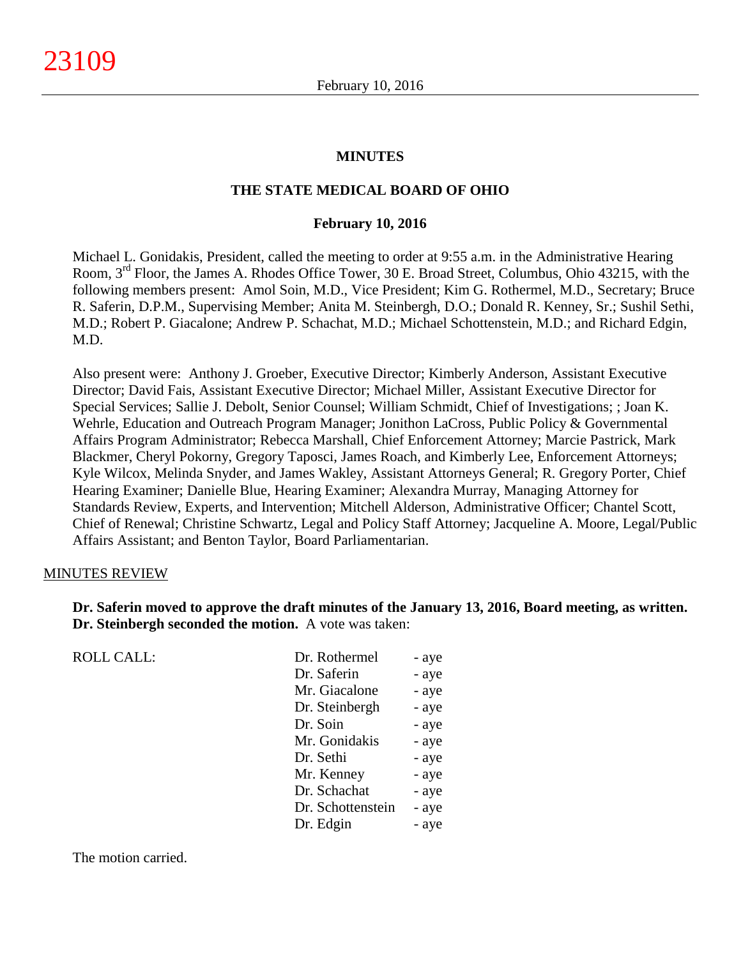### **MINUTES**

### **THE STATE MEDICAL BOARD OF OHIO**

#### **February 10, 2016**

Michael L. Gonidakis, President, called the meeting to order at 9:55 a.m. in the Administrative Hearing Room, 3<sup>rd</sup> Floor, the James A. Rhodes Office Tower, 30 E. Broad Street, Columbus, Ohio 43215, with the following members present: Amol Soin, M.D., Vice President; Kim G. Rothermel, M.D., Secretary; Bruce R. Saferin, D.P.M., Supervising Member; Anita M. Steinbergh, D.O.; Donald R. Kenney, Sr.; Sushil Sethi, M.D.; Robert P. Giacalone; Andrew P. Schachat, M.D.; Michael Schottenstein, M.D.; and Richard Edgin, M.D.

Also present were: Anthony J. Groeber, Executive Director; Kimberly Anderson, Assistant Executive Director; David Fais, Assistant Executive Director; Michael Miller, Assistant Executive Director for Special Services; Sallie J. Debolt, Senior Counsel; William Schmidt, Chief of Investigations; ; Joan K. Wehrle, Education and Outreach Program Manager; Jonithon LaCross, Public Policy & Governmental Affairs Program Administrator; Rebecca Marshall, Chief Enforcement Attorney; Marcie Pastrick, Mark Blackmer, Cheryl Pokorny, Gregory Taposci, James Roach, and Kimberly Lee, Enforcement Attorneys; Kyle Wilcox, Melinda Snyder, and James Wakley, Assistant Attorneys General; R. Gregory Porter, Chief Hearing Examiner; Danielle Blue, Hearing Examiner; Alexandra Murray, Managing Attorney for Standards Review, Experts, and Intervention; Mitchell Alderson, Administrative Officer; Chantel Scott, Chief of Renewal; Christine Schwartz, Legal and Policy Staff Attorney; Jacqueline A. Moore, Legal/Public Affairs Assistant; and Benton Taylor, Board Parliamentarian.

### MINUTES REVIEW

**Dr. Saferin moved to approve the draft minutes of the January 13, 2016, Board meeting, as written. Dr. Steinbergh seconded the motion.** A vote was taken:

ROLL CALL:

| Dr. Rothermel     | - aye |
|-------------------|-------|
| Dr. Saferin       | - aye |
| Mr. Giacalone     | - aye |
| Dr. Steinbergh    | - aye |
| Dr. Soin          | - aye |
| Mr. Gonidakis     | - aye |
| Dr. Sethi         | - aye |
| Mr. Kenney        | - aye |
| Dr. Schachat      | - aye |
| Dr. Schottenstein | - aye |
| Dr. Edgin         | - aye |
|                   |       |

The motion carried.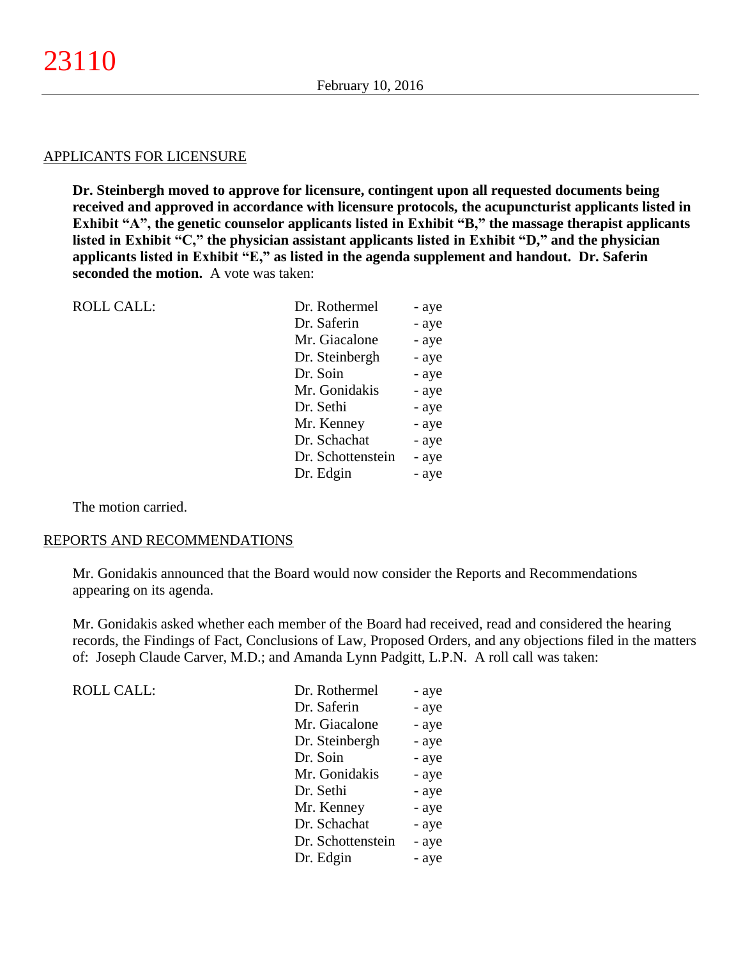#### APPLICANTS FOR LICENSURE

**Dr. Steinbergh moved to approve for licensure, contingent upon all requested documents being received and approved in accordance with licensure protocols, the acupuncturist applicants listed in Exhibit "A", the genetic counselor applicants listed in Exhibit "B," the massage therapist applicants listed in Exhibit "C," the physician assistant applicants listed in Exhibit "D," and the physician applicants listed in Exhibit "E," as listed in the agenda supplement and handout. Dr. Saferin seconded the motion.** A vote was taken:

| <b>ROLL CALL:</b> | Dr. Rothermel     | - aye |
|-------------------|-------------------|-------|
|                   | Dr. Saferin       | - aye |
|                   | Mr. Giacalone     | - aye |
|                   | Dr. Steinbergh    | - aye |
|                   | Dr. Soin          | - aye |
|                   | Mr. Gonidakis     | - aye |
|                   | Dr. Sethi         | - aye |
|                   | Mr. Kenney        | - aye |
|                   | Dr. Schachat      | - aye |
|                   | Dr. Schottenstein | - aye |
|                   | Dr. Edgin         | - aye |
|                   |                   |       |

The motion carried.

#### REPORTS AND RECOMMENDATIONS

Mr. Gonidakis announced that the Board would now consider the Reports and Recommendations appearing on its agenda.

Mr. Gonidakis asked whether each member of the Board had received, read and considered the hearing records, the Findings of Fact, Conclusions of Law, Proposed Orders, and any objections filed in the matters of: Joseph Claude Carver, M.D.; and Amanda Lynn Padgitt, L.P.N. A roll call was taken:

| <b>ROLL CALL:</b> | Dr. Rothermel     | - aye |
|-------------------|-------------------|-------|
|                   | Dr. Saferin       | - aye |
|                   | Mr. Giacalone     | - aye |
|                   | Dr. Steinbergh    | - aye |
|                   | Dr. Soin          | - aye |
|                   | Mr. Gonidakis     | - aye |
|                   | Dr. Sethi         | - aye |
|                   | Mr. Kenney        | - aye |
|                   | Dr. Schachat      | - aye |
|                   | Dr. Schottenstein | - aye |
|                   | Dr. Edgin         | - aye |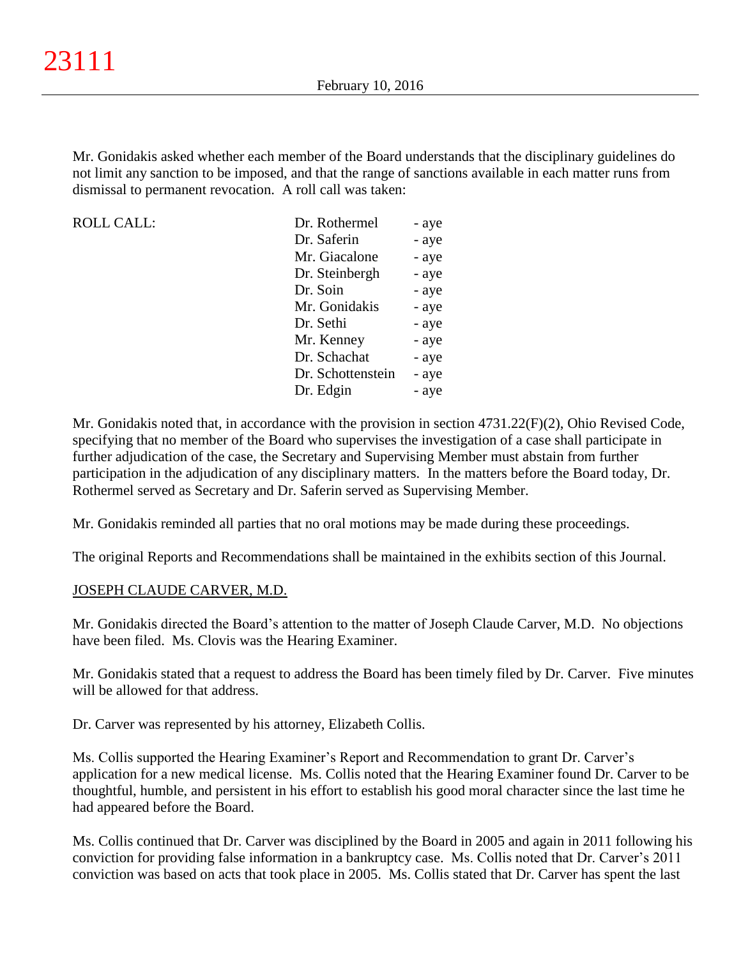Mr. Gonidakis asked whether each member of the Board understands that the disciplinary guidelines do not limit any sanction to be imposed, and that the range of sanctions available in each matter runs from dismissal to permanent revocation. A roll call was taken:

ROLL CALL:

| Dr. Rothermel     | - aye |
|-------------------|-------|
| Dr. Saferin       | - aye |
| Mr. Giacalone     | - aye |
| Dr. Steinbergh    | - aye |
| Dr. Soin          | - aye |
| Mr. Gonidakis     | - aye |
| Dr. Sethi         | - aye |
| Mr. Kenney        | - aye |
| Dr. Schachat      | - aye |
| Dr. Schottenstein | - aye |
| Dr. Edgin         | - aye |

Mr. Gonidakis noted that, in accordance with the provision in section 4731.22(F)(2), Ohio Revised Code, specifying that no member of the Board who supervises the investigation of a case shall participate in further adjudication of the case, the Secretary and Supervising Member must abstain from further participation in the adjudication of any disciplinary matters. In the matters before the Board today, Dr. Rothermel served as Secretary and Dr. Saferin served as Supervising Member.

Mr. Gonidakis reminded all parties that no oral motions may be made during these proceedings.

The original Reports and Recommendations shall be maintained in the exhibits section of this Journal.

## JOSEPH CLAUDE CARVER, M.D.

Mr. Gonidakis directed the Board's attention to the matter of Joseph Claude Carver, M.D. No objections have been filed. Ms. Clovis was the Hearing Examiner.

Mr. Gonidakis stated that a request to address the Board has been timely filed by Dr. Carver. Five minutes will be allowed for that address.

Dr. Carver was represented by his attorney, Elizabeth Collis.

Ms. Collis supported the Hearing Examiner's Report and Recommendation to grant Dr. Carver's application for a new medical license. Ms. Collis noted that the Hearing Examiner found Dr. Carver to be thoughtful, humble, and persistent in his effort to establish his good moral character since the last time he had appeared before the Board.

Ms. Collis continued that Dr. Carver was disciplined by the Board in 2005 and again in 2011 following his conviction for providing false information in a bankruptcy case. Ms. Collis noted that Dr. Carver's 2011 conviction was based on acts that took place in 2005. Ms. Collis stated that Dr. Carver has spent the last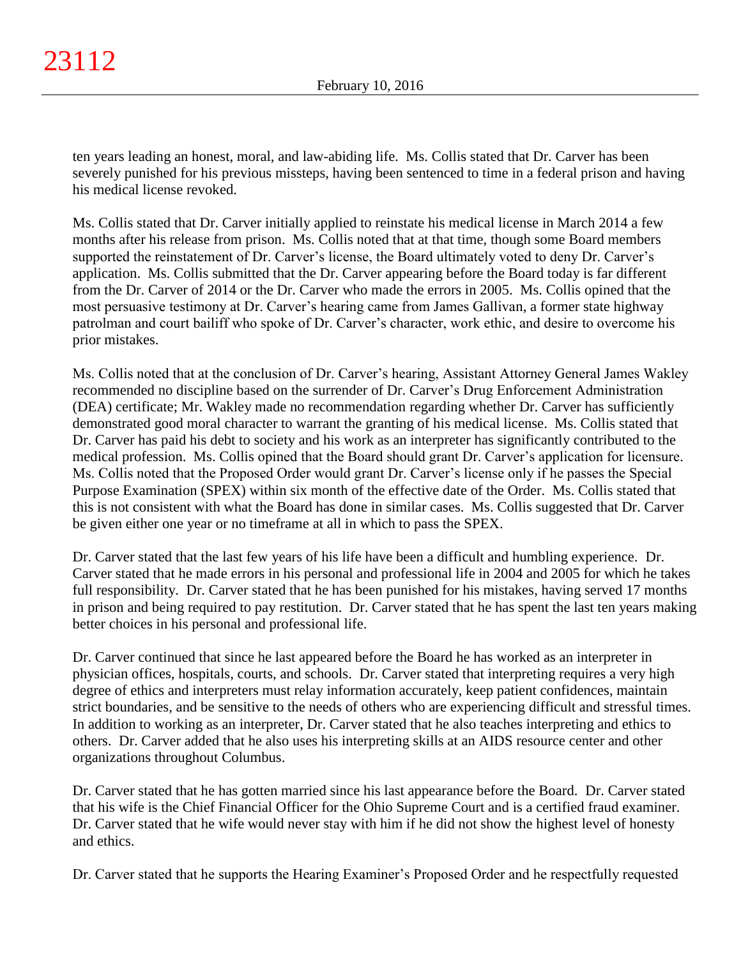ten years leading an honest, moral, and law-abiding life. Ms. Collis stated that Dr. Carver has been severely punished for his previous missteps, having been sentenced to time in a federal prison and having his medical license revoked.

Ms. Collis stated that Dr. Carver initially applied to reinstate his medical license in March 2014 a few months after his release from prison. Ms. Collis noted that at that time, though some Board members supported the reinstatement of Dr. Carver's license, the Board ultimately voted to deny Dr. Carver's application. Ms. Collis submitted that the Dr. Carver appearing before the Board today is far different from the Dr. Carver of 2014 or the Dr. Carver who made the errors in 2005. Ms. Collis opined that the most persuasive testimony at Dr. Carver's hearing came from James Gallivan, a former state highway patrolman and court bailiff who spoke of Dr. Carver's character, work ethic, and desire to overcome his prior mistakes.

Ms. Collis noted that at the conclusion of Dr. Carver's hearing, Assistant Attorney General James Wakley recommended no discipline based on the surrender of Dr. Carver's Drug Enforcement Administration (DEA) certificate; Mr. Wakley made no recommendation regarding whether Dr. Carver has sufficiently demonstrated good moral character to warrant the granting of his medical license. Ms. Collis stated that Dr. Carver has paid his debt to society and his work as an interpreter has significantly contributed to the medical profession. Ms. Collis opined that the Board should grant Dr. Carver's application for licensure. Ms. Collis noted that the Proposed Order would grant Dr. Carver's license only if he passes the Special Purpose Examination (SPEX) within six month of the effective date of the Order. Ms. Collis stated that this is not consistent with what the Board has done in similar cases. Ms. Collis suggested that Dr. Carver be given either one year or no timeframe at all in which to pass the SPEX.

Dr. Carver stated that the last few years of his life have been a difficult and humbling experience. Dr. Carver stated that he made errors in his personal and professional life in 2004 and 2005 for which he takes full responsibility. Dr. Carver stated that he has been punished for his mistakes, having served 17 months in prison and being required to pay restitution. Dr. Carver stated that he has spent the last ten years making better choices in his personal and professional life.

Dr. Carver continued that since he last appeared before the Board he has worked as an interpreter in physician offices, hospitals, courts, and schools. Dr. Carver stated that interpreting requires a very high degree of ethics and interpreters must relay information accurately, keep patient confidences, maintain strict boundaries, and be sensitive to the needs of others who are experiencing difficult and stressful times. In addition to working as an interpreter, Dr. Carver stated that he also teaches interpreting and ethics to others. Dr. Carver added that he also uses his interpreting skills at an AIDS resource center and other organizations throughout Columbus.

Dr. Carver stated that he has gotten married since his last appearance before the Board. Dr. Carver stated that his wife is the Chief Financial Officer for the Ohio Supreme Court and is a certified fraud examiner. Dr. Carver stated that he wife would never stay with him if he did not show the highest level of honesty and ethics.

Dr. Carver stated that he supports the Hearing Examiner's Proposed Order and he respectfully requested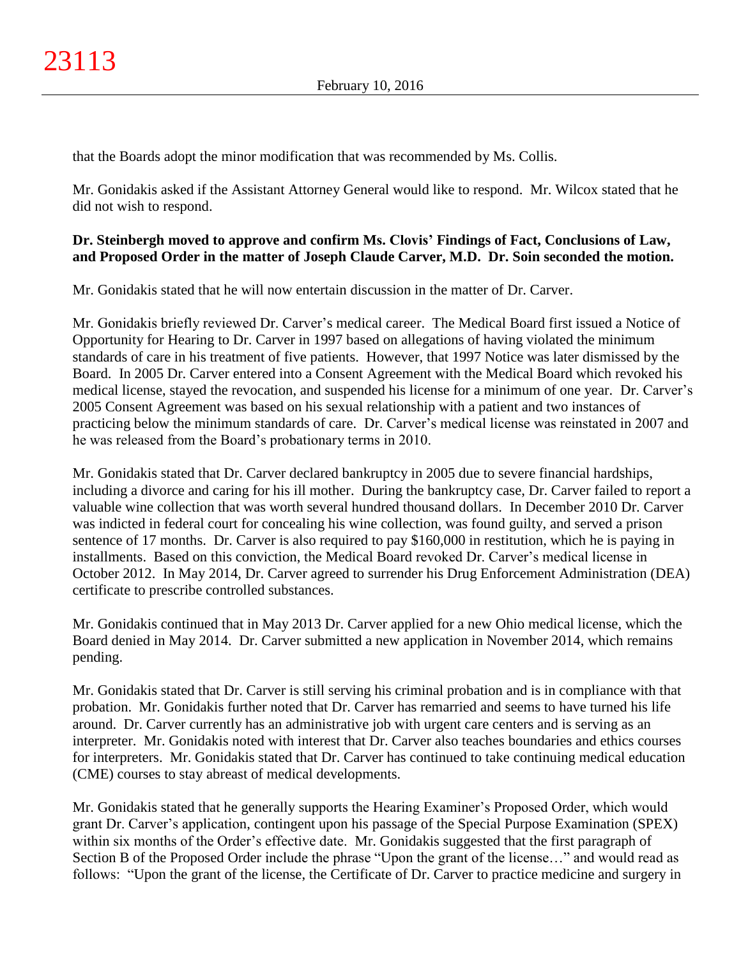that the Boards adopt the minor modification that was recommended by Ms. Collis.

Mr. Gonidakis asked if the Assistant Attorney General would like to respond. Mr. Wilcox stated that he did not wish to respond.

## **Dr. Steinbergh moved to approve and confirm Ms. Clovis' Findings of Fact, Conclusions of Law, and Proposed Order in the matter of Joseph Claude Carver, M.D. Dr. Soin seconded the motion.**

Mr. Gonidakis stated that he will now entertain discussion in the matter of Dr. Carver.

Mr. Gonidakis briefly reviewed Dr. Carver's medical career. The Medical Board first issued a Notice of Opportunity for Hearing to Dr. Carver in 1997 based on allegations of having violated the minimum standards of care in his treatment of five patients. However, that 1997 Notice was later dismissed by the Board. In 2005 Dr. Carver entered into a Consent Agreement with the Medical Board which revoked his medical license, stayed the revocation, and suspended his license for a minimum of one year. Dr. Carver's 2005 Consent Agreement was based on his sexual relationship with a patient and two instances of practicing below the minimum standards of care. Dr. Carver's medical license was reinstated in 2007 and he was released from the Board's probationary terms in 2010.

Mr. Gonidakis stated that Dr. Carver declared bankruptcy in 2005 due to severe financial hardships, including a divorce and caring for his ill mother. During the bankruptcy case, Dr. Carver failed to report a valuable wine collection that was worth several hundred thousand dollars. In December 2010 Dr. Carver was indicted in federal court for concealing his wine collection, was found guilty, and served a prison sentence of 17 months. Dr. Carver is also required to pay \$160,000 in restitution, which he is paying in installments. Based on this conviction, the Medical Board revoked Dr. Carver's medical license in October 2012. In May 2014, Dr. Carver agreed to surrender his Drug Enforcement Administration (DEA) certificate to prescribe controlled substances.

Mr. Gonidakis continued that in May 2013 Dr. Carver applied for a new Ohio medical license, which the Board denied in May 2014. Dr. Carver submitted a new application in November 2014, which remains pending.

Mr. Gonidakis stated that Dr. Carver is still serving his criminal probation and is in compliance with that probation. Mr. Gonidakis further noted that Dr. Carver has remarried and seems to have turned his life around. Dr. Carver currently has an administrative job with urgent care centers and is serving as an interpreter. Mr. Gonidakis noted with interest that Dr. Carver also teaches boundaries and ethics courses for interpreters. Mr. Gonidakis stated that Dr. Carver has continued to take continuing medical education (CME) courses to stay abreast of medical developments.

Mr. Gonidakis stated that he generally supports the Hearing Examiner's Proposed Order, which would grant Dr. Carver's application, contingent upon his passage of the Special Purpose Examination (SPEX) within six months of the Order's effective date. Mr. Gonidakis suggested that the first paragraph of Section B of the Proposed Order include the phrase "Upon the grant of the license…" and would read as follows: "Upon the grant of the license, the Certificate of Dr. Carver to practice medicine and surgery in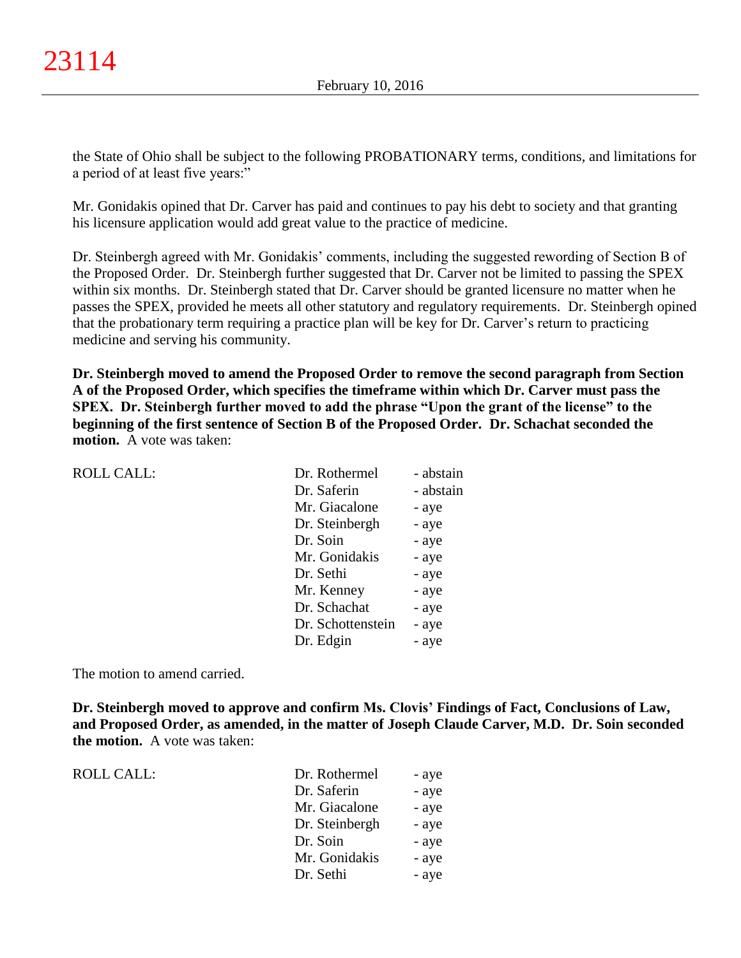the State of Ohio shall be subject to the following PROBATIONARY terms, conditions, and limitations for a period of at least five years:"

Mr. Gonidakis opined that Dr. Carver has paid and continues to pay his debt to society and that granting his licensure application would add great value to the practice of medicine.

Dr. Steinbergh agreed with Mr. Gonidakis' comments, including the suggested rewording of Section B of the Proposed Order. Dr. Steinbergh further suggested that Dr. Carver not be limited to passing the SPEX within six months. Dr. Steinbergh stated that Dr. Carver should be granted licensure no matter when he passes the SPEX, provided he meets all other statutory and regulatory requirements. Dr. Steinbergh opined that the probationary term requiring a practice plan will be key for Dr. Carver's return to practicing medicine and serving his community.

**Dr. Steinbergh moved to amend the Proposed Order to remove the second paragraph from Section A of the Proposed Order, which specifies the timeframe within which Dr. Carver must pass the SPEX. Dr. Steinbergh further moved to add the phrase "Upon the grant of the license" to the beginning of the first sentence of Section B of the Proposed Order. Dr. Schachat seconded the motion.** A vote was taken:

| <b>ROLL CALL:</b> | Dr. Rothermel     | - abstain |
|-------------------|-------------------|-----------|
|                   | Dr. Saferin       | - abstain |
|                   | Mr. Giacalone     | - aye     |
|                   | Dr. Steinbergh    | - aye     |
|                   | Dr. Soin          | - aye     |
|                   | Mr. Gonidakis     | - aye     |
|                   | Dr. Sethi         | - aye     |
|                   | Mr. Kenney        | - aye     |
|                   | Dr. Schachat      | - aye     |
|                   | Dr. Schottenstein | - aye     |
|                   | Dr. Edgin         | - aye     |
|                   |                   |           |

The motion to amend carried.

**Dr. Steinbergh moved to approve and confirm Ms. Clovis' Findings of Fact, Conclusions of Law, and Proposed Order, as amended, in the matter of Joseph Claude Carver, M.D. Dr. Soin seconded the motion.** A vote was taken:

ROLL CALL:  $\qquad \qquad$ 

| Dr. Rothermel  | - aye |
|----------------|-------|
| Dr. Saferin    | - aye |
| Mr. Giacalone  | - aye |
| Dr. Steinbergh | - aye |
| Dr. Soin       | - aye |
| Mr. Gonidakis  | - aye |
| Dr. Sethi      | - aye |
|                |       |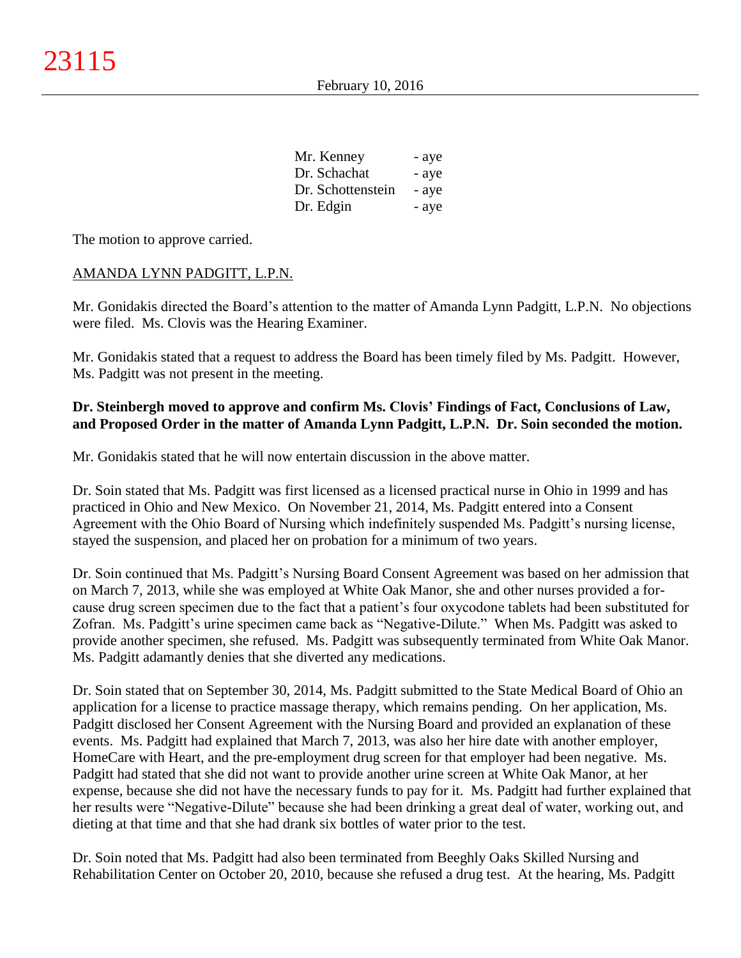| Mr. Kenney        | - aye |
|-------------------|-------|
| Dr. Schachat      | - aye |
| Dr. Schottenstein | - aye |
| Dr. Edgin         | - aye |

The motion to approve carried.

## AMANDA LYNN PADGITT, L.P.N.

Mr. Gonidakis directed the Board's attention to the matter of Amanda Lynn Padgitt, L.P.N. No objections were filed. Ms. Clovis was the Hearing Examiner.

Mr. Gonidakis stated that a request to address the Board has been timely filed by Ms. Padgitt. However, Ms. Padgitt was not present in the meeting.

## **Dr. Steinbergh moved to approve and confirm Ms. Clovis' Findings of Fact, Conclusions of Law, and Proposed Order in the matter of Amanda Lynn Padgitt, L.P.N. Dr. Soin seconded the motion.**

Mr. Gonidakis stated that he will now entertain discussion in the above matter.

Dr. Soin stated that Ms. Padgitt was first licensed as a licensed practical nurse in Ohio in 1999 and has practiced in Ohio and New Mexico. On November 21, 2014, Ms. Padgitt entered into a Consent Agreement with the Ohio Board of Nursing which indefinitely suspended Ms. Padgitt's nursing license, stayed the suspension, and placed her on probation for a minimum of two years.

Dr. Soin continued that Ms. Padgitt's Nursing Board Consent Agreement was based on her admission that on March 7, 2013, while she was employed at White Oak Manor, she and other nurses provided a forcause drug screen specimen due to the fact that a patient's four oxycodone tablets had been substituted for Zofran. Ms. Padgitt's urine specimen came back as "Negative-Dilute." When Ms. Padgitt was asked to provide another specimen, she refused. Ms. Padgitt was subsequently terminated from White Oak Manor. Ms. Padgitt adamantly denies that she diverted any medications.

Dr. Soin stated that on September 30, 2014, Ms. Padgitt submitted to the State Medical Board of Ohio an application for a license to practice massage therapy, which remains pending. On her application, Ms. Padgitt disclosed her Consent Agreement with the Nursing Board and provided an explanation of these events. Ms. Padgitt had explained that March 7, 2013, was also her hire date with another employer, HomeCare with Heart, and the pre-employment drug screen for that employer had been negative. Ms. Padgitt had stated that she did not want to provide another urine screen at White Oak Manor, at her expense, because she did not have the necessary funds to pay for it. Ms. Padgitt had further explained that her results were "Negative-Dilute" because she had been drinking a great deal of water, working out, and dieting at that time and that she had drank six bottles of water prior to the test.

Dr. Soin noted that Ms. Padgitt had also been terminated from Beeghly Oaks Skilled Nursing and Rehabilitation Center on October 20, 2010, because she refused a drug test. At the hearing, Ms. Padgitt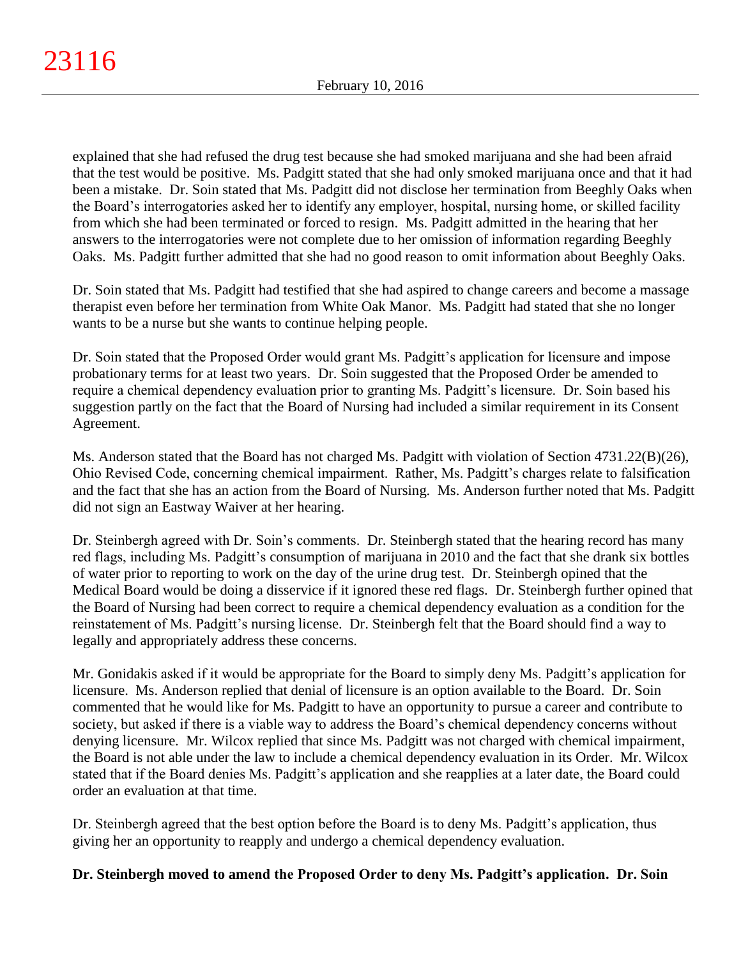explained that she had refused the drug test because she had smoked marijuana and she had been afraid that the test would be positive. Ms. Padgitt stated that she had only smoked marijuana once and that it had been a mistake. Dr. Soin stated that Ms. Padgitt did not disclose her termination from Beeghly Oaks when the Board's interrogatories asked her to identify any employer, hospital, nursing home, or skilled facility from which she had been terminated or forced to resign. Ms. Padgitt admitted in the hearing that her answers to the interrogatories were not complete due to her omission of information regarding Beeghly Oaks. Ms. Padgitt further admitted that she had no good reason to omit information about Beeghly Oaks.

Dr. Soin stated that Ms. Padgitt had testified that she had aspired to change careers and become a massage therapist even before her termination from White Oak Manor. Ms. Padgitt had stated that she no longer wants to be a nurse but she wants to continue helping people.

Dr. Soin stated that the Proposed Order would grant Ms. Padgitt's application for licensure and impose probationary terms for at least two years. Dr. Soin suggested that the Proposed Order be amended to require a chemical dependency evaluation prior to granting Ms. Padgitt's licensure. Dr. Soin based his suggestion partly on the fact that the Board of Nursing had included a similar requirement in its Consent Agreement.

Ms. Anderson stated that the Board has not charged Ms. Padgitt with violation of Section 4731.22(B)(26), Ohio Revised Code, concerning chemical impairment. Rather, Ms. Padgitt's charges relate to falsification and the fact that she has an action from the Board of Nursing. Ms. Anderson further noted that Ms. Padgitt did not sign an Eastway Waiver at her hearing.

Dr. Steinbergh agreed with Dr. Soin's comments. Dr. Steinbergh stated that the hearing record has many red flags, including Ms. Padgitt's consumption of marijuana in 2010 and the fact that she drank six bottles of water prior to reporting to work on the day of the urine drug test. Dr. Steinbergh opined that the Medical Board would be doing a disservice if it ignored these red flags. Dr. Steinbergh further opined that the Board of Nursing had been correct to require a chemical dependency evaluation as a condition for the reinstatement of Ms. Padgitt's nursing license. Dr. Steinbergh felt that the Board should find a way to legally and appropriately address these concerns.

Mr. Gonidakis asked if it would be appropriate for the Board to simply deny Ms. Padgitt's application for licensure. Ms. Anderson replied that denial of licensure is an option available to the Board. Dr. Soin commented that he would like for Ms. Padgitt to have an opportunity to pursue a career and contribute to society, but asked if there is a viable way to address the Board's chemical dependency concerns without denying licensure. Mr. Wilcox replied that since Ms. Padgitt was not charged with chemical impairment, the Board is not able under the law to include a chemical dependency evaluation in its Order. Mr. Wilcox stated that if the Board denies Ms. Padgitt's application and she reapplies at a later date, the Board could order an evaluation at that time.

Dr. Steinbergh agreed that the best option before the Board is to deny Ms. Padgitt's application, thus giving her an opportunity to reapply and undergo a chemical dependency evaluation.

# **Dr. Steinbergh moved to amend the Proposed Order to deny Ms. Padgitt's application. Dr. Soin**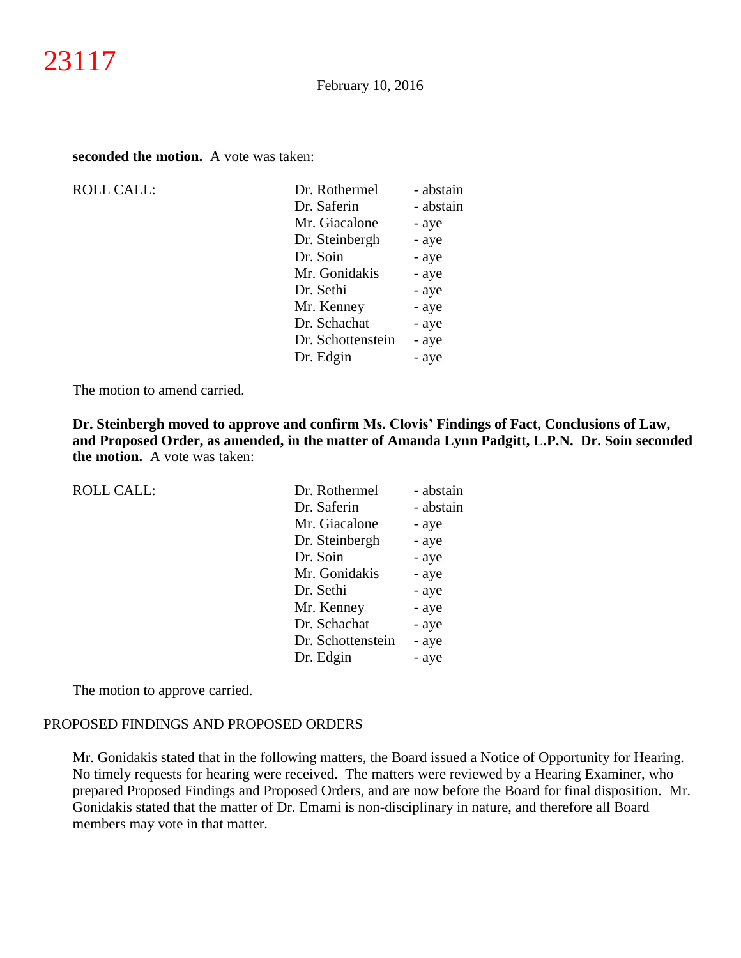**seconded the motion.** A vote was taken:

| <b>ROLL CALL:</b> |
|-------------------|
|                   |

| <b>ROLL CALL:</b> | Dr. Rothermel     | - abstain |
|-------------------|-------------------|-----------|
|                   | Dr. Saferin       | - abstain |
|                   | Mr. Giacalone     | - aye     |
|                   | Dr. Steinbergh    | - aye     |
|                   | Dr. Soin          | - aye     |
|                   | Mr. Gonidakis     | - aye     |
|                   | Dr. Sethi         | - aye     |
|                   | Mr. Kenney        | - aye     |
|                   | Dr. Schachat      | - aye     |
|                   | Dr. Schottenstein | - aye     |
|                   | Dr. Edgin         | - aye     |
|                   |                   |           |

The motion to amend carried.

**Dr. Steinbergh moved to approve and confirm Ms. Clovis' Findings of Fact, Conclusions of Law, and Proposed Order, as amended, in the matter of Amanda Lynn Padgitt, L.P.N. Dr. Soin seconded the motion.** A vote was taken:

| <b>ROLL CALL:</b> | Dr. Rothermel     | - abstain |
|-------------------|-------------------|-----------|
|                   | Dr. Saferin       | - abstain |
|                   | Mr. Giacalone     | - aye     |
|                   | Dr. Steinbergh    | - aye     |
|                   | Dr. Soin          | - aye     |
|                   | Mr. Gonidakis     | - aye     |
|                   | Dr. Sethi         | - aye     |
|                   | Mr. Kenney        | - aye     |
|                   | Dr. Schachat      | - aye     |
|                   | Dr. Schottenstein | - aye     |
|                   | Dr. Edgin         | - aye     |

The motion to approve carried.

# PROPOSED FINDINGS AND PROPOSED ORDERS

Mr. Gonidakis stated that in the following matters, the Board issued a Notice of Opportunity for Hearing. No timely requests for hearing were received. The matters were reviewed by a Hearing Examiner, who prepared Proposed Findings and Proposed Orders, and are now before the Board for final disposition. Mr. Gonidakis stated that the matter of Dr. Emami is non-disciplinary in nature, and therefore all Board members may vote in that matter.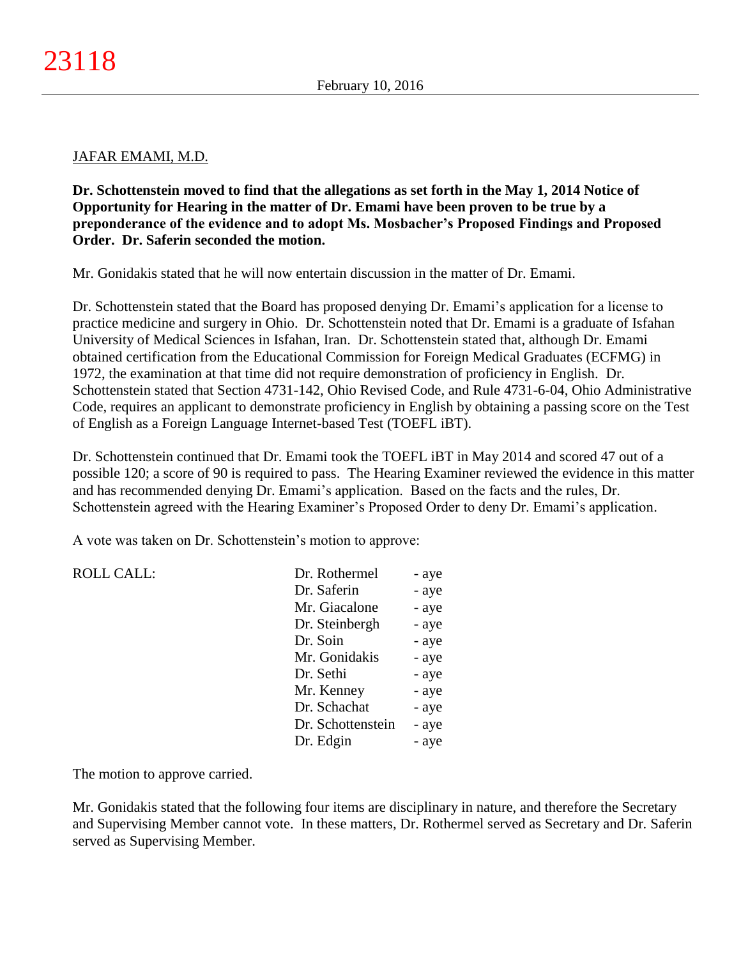### JAFAR EMAMI, M.D.

**Dr. Schottenstein moved to find that the allegations as set forth in the May 1, 2014 Notice of Opportunity for Hearing in the matter of Dr. Emami have been proven to be true by a preponderance of the evidence and to adopt Ms. Mosbacher's Proposed Findings and Proposed Order. Dr. Saferin seconded the motion.**

Mr. Gonidakis stated that he will now entertain discussion in the matter of Dr. Emami.

Dr. Schottenstein stated that the Board has proposed denying Dr. Emami's application for a license to practice medicine and surgery in Ohio. Dr. Schottenstein noted that Dr. Emami is a graduate of Isfahan University of Medical Sciences in Isfahan, Iran. Dr. Schottenstein stated that, although Dr. Emami obtained certification from the Educational Commission for Foreign Medical Graduates (ECFMG) in 1972, the examination at that time did not require demonstration of proficiency in English. Dr. Schottenstein stated that Section 4731-142, Ohio Revised Code, and Rule 4731-6-04, Ohio Administrative Code, requires an applicant to demonstrate proficiency in English by obtaining a passing score on the Test of English as a Foreign Language Internet-based Test (TOEFL iBT).

Dr. Schottenstein continued that Dr. Emami took the TOEFL iBT in May 2014 and scored 47 out of a possible 120; a score of 90 is required to pass. The Hearing Examiner reviewed the evidence in this matter and has recommended denying Dr. Emami's application. Based on the facts and the rules, Dr. Schottenstein agreed with the Hearing Examiner's Proposed Order to deny Dr. Emami's application.

A vote was taken on Dr. Schottenstein's motion to approve:

ROLL CALL:

| Dr. Rothermel     | - aye |
|-------------------|-------|
| Dr. Saferin       | - aye |
| Mr. Giacalone     | - aye |
| Dr. Steinbergh    | - aye |
| Dr. Soin          | - aye |
| Mr. Gonidakis     | - aye |
| Dr. Sethi         | - aye |
| Mr. Kenney        | - aye |
| Dr. Schachat      | - aye |
| Dr. Schottenstein | - aye |
| Dr. Edgin         | - aye |
|                   |       |

The motion to approve carried.

Mr. Gonidakis stated that the following four items are disciplinary in nature, and therefore the Secretary and Supervising Member cannot vote. In these matters, Dr. Rothermel served as Secretary and Dr. Saferin served as Supervising Member.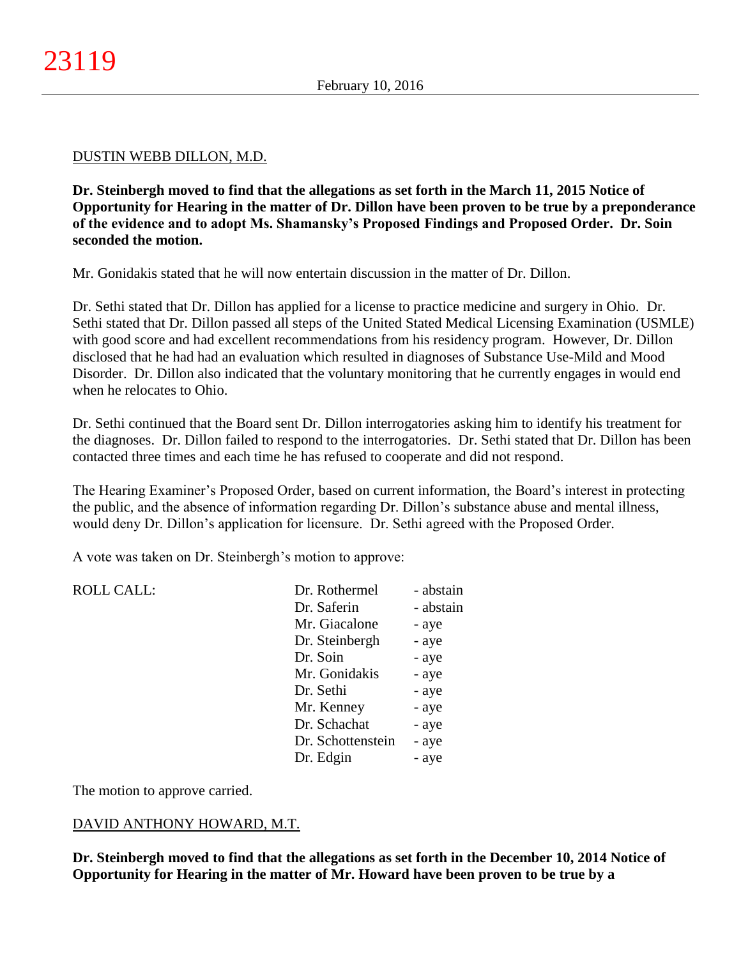### DUSTIN WEBB DILLON, M.D.

**Dr. Steinbergh moved to find that the allegations as set forth in the March 11, 2015 Notice of Opportunity for Hearing in the matter of Dr. Dillon have been proven to be true by a preponderance of the evidence and to adopt Ms. Shamansky's Proposed Findings and Proposed Order. Dr. Soin seconded the motion.**

Mr. Gonidakis stated that he will now entertain discussion in the matter of Dr. Dillon.

Dr. Sethi stated that Dr. Dillon has applied for a license to practice medicine and surgery in Ohio. Dr. Sethi stated that Dr. Dillon passed all steps of the United Stated Medical Licensing Examination (USMLE) with good score and had excellent recommendations from his residency program. However, Dr. Dillon disclosed that he had had an evaluation which resulted in diagnoses of Substance Use-Mild and Mood Disorder. Dr. Dillon also indicated that the voluntary monitoring that he currently engages in would end when he relocates to Ohio.

Dr. Sethi continued that the Board sent Dr. Dillon interrogatories asking him to identify his treatment for the diagnoses. Dr. Dillon failed to respond to the interrogatories. Dr. Sethi stated that Dr. Dillon has been contacted three times and each time he has refused to cooperate and did not respond.

The Hearing Examiner's Proposed Order, based on current information, the Board's interest in protecting the public, and the absence of information regarding Dr. Dillon's substance abuse and mental illness, would deny Dr. Dillon's application for licensure. Dr. Sethi agreed with the Proposed Order.

A vote was taken on Dr. Steinbergh's motion to approve:

| <b>ROLL CALL:</b> | Dr. Rothermel     | - abstain |
|-------------------|-------------------|-----------|
|                   | Dr. Saferin       | - abstain |
|                   | Mr. Giacalone     | - aye     |
|                   | Dr. Steinbergh    | - aye     |
|                   | Dr. Soin          | - aye     |
|                   | Mr. Gonidakis     | - aye     |
|                   | Dr. Sethi         | - aye     |
|                   | Mr. Kenney        | - aye     |
|                   | Dr. Schachat      | - aye     |
|                   | Dr. Schottenstein | - aye     |
|                   | Dr. Edgin         | - aye     |
|                   |                   |           |

The motion to approve carried.

## DAVID ANTHONY HOWARD, M.T.

**Dr. Steinbergh moved to find that the allegations as set forth in the December 10, 2014 Notice of Opportunity for Hearing in the matter of Mr. Howard have been proven to be true by a**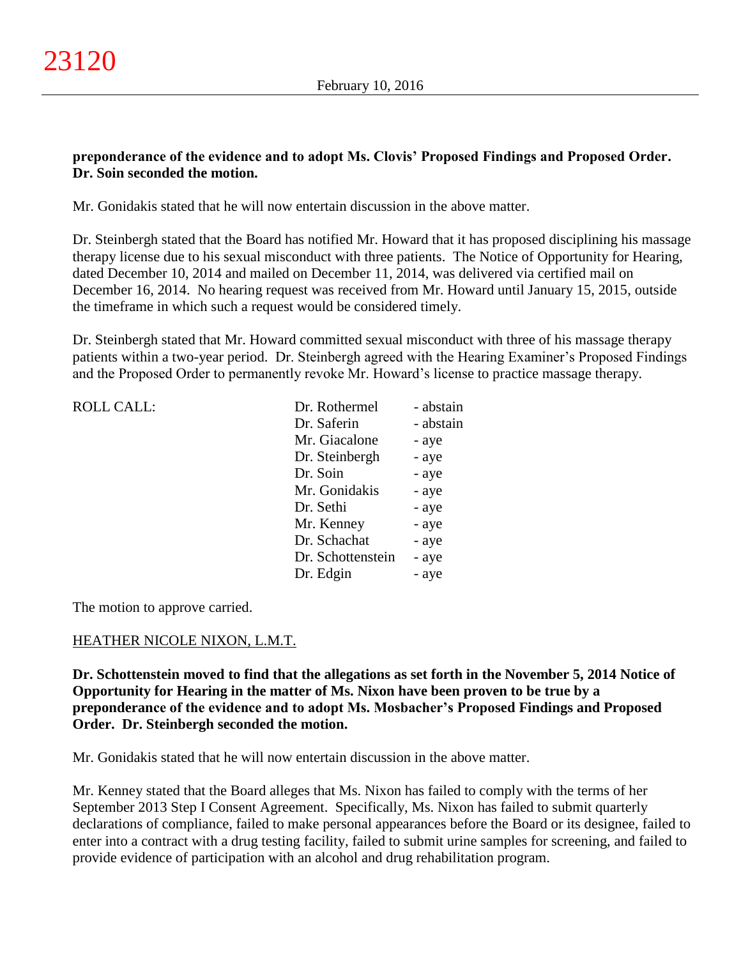## **preponderance of the evidence and to adopt Ms. Clovis' Proposed Findings and Proposed Order. Dr. Soin seconded the motion.**

Mr. Gonidakis stated that he will now entertain discussion in the above matter.

Dr. Steinbergh stated that the Board has notified Mr. Howard that it has proposed disciplining his massage therapy license due to his sexual misconduct with three patients. The Notice of Opportunity for Hearing, dated December 10, 2014 and mailed on December 11, 2014, was delivered via certified mail on December 16, 2014. No hearing request was received from Mr. Howard until January 15, 2015, outside the timeframe in which such a request would be considered timely.

Dr. Steinbergh stated that Mr. Howard committed sexual misconduct with three of his massage therapy patients within a two-year period. Dr. Steinbergh agreed with the Hearing Examiner's Proposed Findings and the Proposed Order to permanently revoke Mr. Howard's license to practice massage therapy.

| <b>ROLL CALL:</b> | Dr. Rothermel     | - abstain |
|-------------------|-------------------|-----------|
|                   | Dr. Saferin       | - abstain |
|                   | Mr. Giacalone     | - aye     |
|                   | Dr. Steinbergh    | - aye     |
|                   | Dr. Soin          | - aye     |
|                   | Mr. Gonidakis     | - aye     |
|                   | Dr. Sethi         | - aye     |
|                   | Mr. Kenney        | - aye     |
|                   | Dr. Schachat      | - aye     |
|                   | Dr. Schottenstein | - aye     |
|                   | Dr. Edgin         | - aye     |
|                   |                   |           |

The motion to approve carried.

## HEATHER NICOLE NIXON, L.M.T.

**Dr. Schottenstein moved to find that the allegations as set forth in the November 5, 2014 Notice of Opportunity for Hearing in the matter of Ms. Nixon have been proven to be true by a preponderance of the evidence and to adopt Ms. Mosbacher's Proposed Findings and Proposed Order. Dr. Steinbergh seconded the motion.**

Mr. Gonidakis stated that he will now entertain discussion in the above matter.

Mr. Kenney stated that the Board alleges that Ms. Nixon has failed to comply with the terms of her September 2013 Step I Consent Agreement. Specifically, Ms. Nixon has failed to submit quarterly declarations of compliance, failed to make personal appearances before the Board or its designee, failed to enter into a contract with a drug testing facility, failed to submit urine samples for screening, and failed to provide evidence of participation with an alcohol and drug rehabilitation program.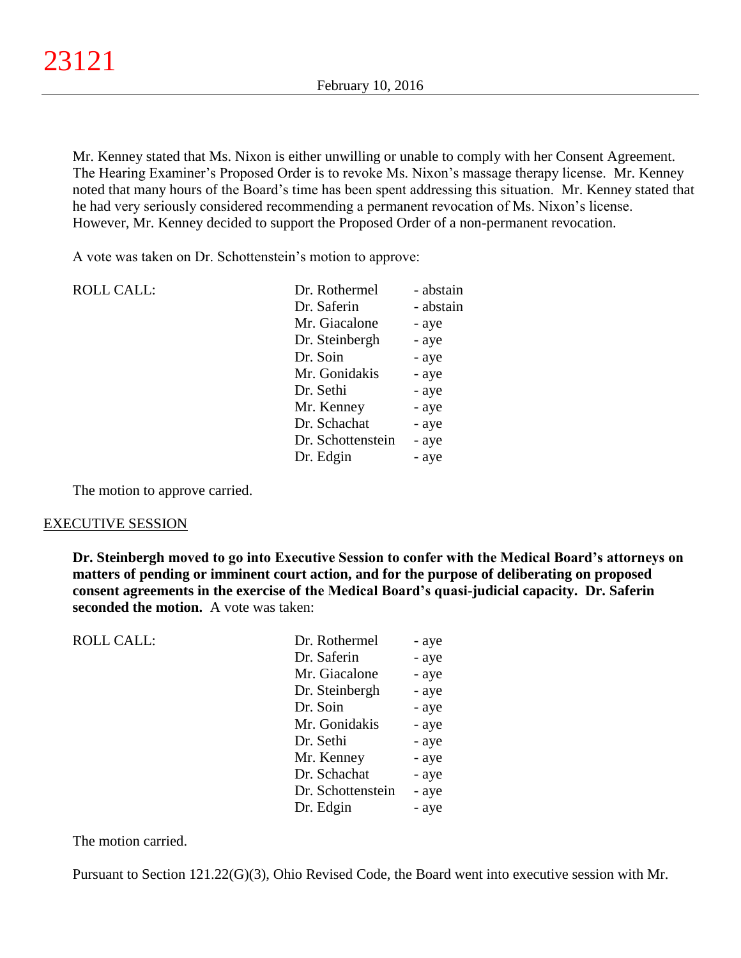Mr. Kenney stated that Ms. Nixon is either unwilling or unable to comply with her Consent Agreement. The Hearing Examiner's Proposed Order is to revoke Ms. Nixon's massage therapy license. Mr. Kenney noted that many hours of the Board's time has been spent addressing this situation. Mr. Kenney stated that he had very seriously considered recommending a permanent revocation of Ms. Nixon's license. However, Mr. Kenney decided to support the Proposed Order of a non-permanent revocation.

A vote was taken on Dr. Schottenstein's motion to approve:

| <b>ROLL CALL:</b> | Dr. Rothermel     | - abstain |
|-------------------|-------------------|-----------|
|                   | Dr. Saferin       | - abstain |
|                   | Mr. Giacalone     | - aye     |
|                   | Dr. Steinbergh    | - aye     |
|                   | Dr. Soin          | - aye     |
|                   | Mr. Gonidakis     | - aye     |
|                   | Dr. Sethi         | - aye     |
|                   | Mr. Kenney        | - aye     |
|                   | Dr. Schachat      | - aye     |
|                   | Dr. Schottenstein | - aye     |
|                   | Dr. Edgin         | - aye     |
|                   |                   |           |

The motion to approve carried.

#### EXECUTIVE SESSION

**Dr. Steinbergh moved to go into Executive Session to confer with the Medical Board's attorneys on matters of pending or imminent court action, and for the purpose of deliberating on proposed consent agreements in the exercise of the Medical Board's quasi-judicial capacity. Dr. Saferin seconded the motion.** A vote was taken:

| <b>ROLL CALL:</b> | Dr. Rothermel     | - aye |
|-------------------|-------------------|-------|
|                   | Dr. Saferin       | - aye |
|                   | Mr. Giacalone     | - aye |
|                   | Dr. Steinbergh    | - aye |
|                   | Dr. Soin          | - aye |
|                   | Mr. Gonidakis     | - aye |
|                   | Dr. Sethi         | - aye |
|                   | Mr. Kenney        | - aye |
|                   | Dr. Schachat      | - aye |
|                   | Dr. Schottenstein | - aye |
|                   | Dr. Edgin         | - aye |
|                   |                   |       |

The motion carried.

Pursuant to Section 121.22(G)(3), Ohio Revised Code, the Board went into executive session with Mr.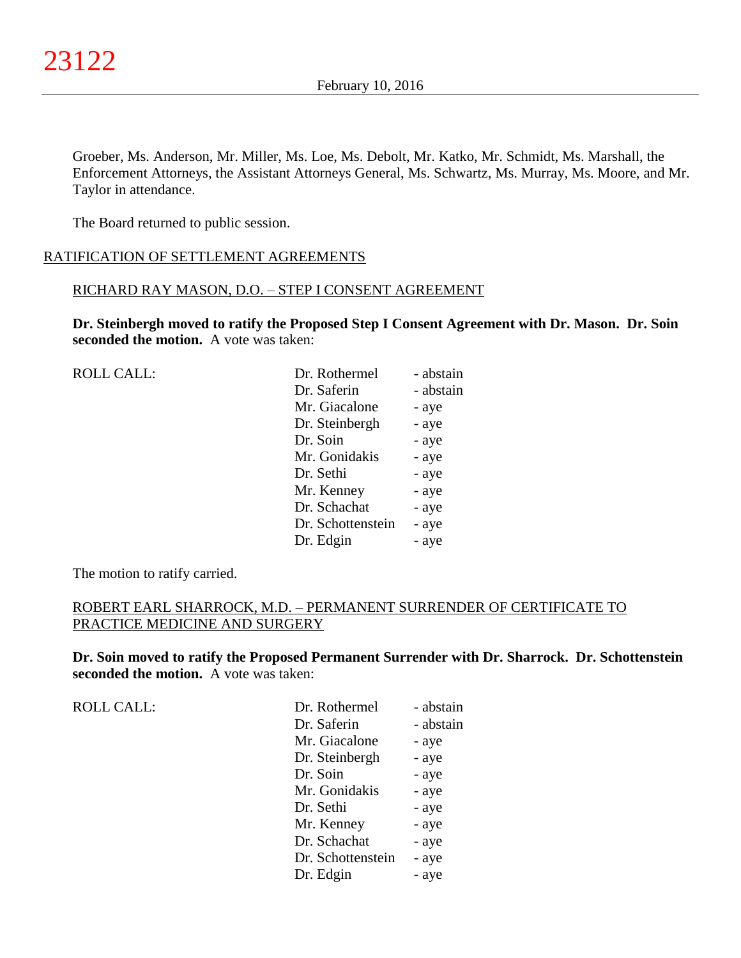Groeber, Ms. Anderson, Mr. Miller, Ms. Loe, Ms. Debolt, Mr. Katko, Mr. Schmidt, Ms. Marshall, the Enforcement Attorneys, the Assistant Attorneys General, Ms. Schwartz, Ms. Murray, Ms. Moore, and Mr. Taylor in attendance.

The Board returned to public session.

## RATIFICATION OF SETTLEMENT AGREEMENTS

### RICHARD RAY MASON, D.O. – STEP I CONSENT AGREEMENT

**Dr. Steinbergh moved to ratify the Proposed Step I Consent Agreement with Dr. Mason. Dr. Soin seconded the motion.** A vote was taken:

| <b>ROLL CALL:</b> | Dr. Rothermel     | - abstain |
|-------------------|-------------------|-----------|
|                   | Dr. Saferin       | - abstain |
|                   | Mr. Giacalone     | - aye     |
|                   | Dr. Steinbergh    | - aye     |
|                   | Dr. Soin          | - aye     |
|                   | Mr. Gonidakis     | - aye     |
|                   | Dr. Sethi         | - aye     |
|                   | Mr. Kenney        | - aye     |
|                   | Dr. Schachat      | - aye     |
|                   | Dr. Schottenstein | - aye     |
|                   | Dr. Edgin         | - aye     |
|                   |                   |           |

The motion to ratify carried.

## ROBERT EARL SHARROCK, M.D. – PERMANENT SURRENDER OF CERTIFICATE TO PRACTICE MEDICINE AND SURGERY

**Dr. Soin moved to ratify the Proposed Permanent Surrender with Dr. Sharrock. Dr. Schottenstein seconded the motion.** A vote was taken:

ROLL CALL:

| Dr. Rothermel     | - abstain |
|-------------------|-----------|
| Dr. Saferin       | - abstain |
| Mr. Giacalone     | - aye     |
| Dr. Steinbergh    | - aye     |
| Dr. Soin          | - aye     |
| Mr. Gonidakis     | - aye     |
| Dr. Sethi         | - aye     |
| Mr. Kenney        | - aye     |
| Dr. Schachat      | - aye     |
| Dr. Schottenstein | - aye     |
| Dr. Edgin         | - aye     |
|                   |           |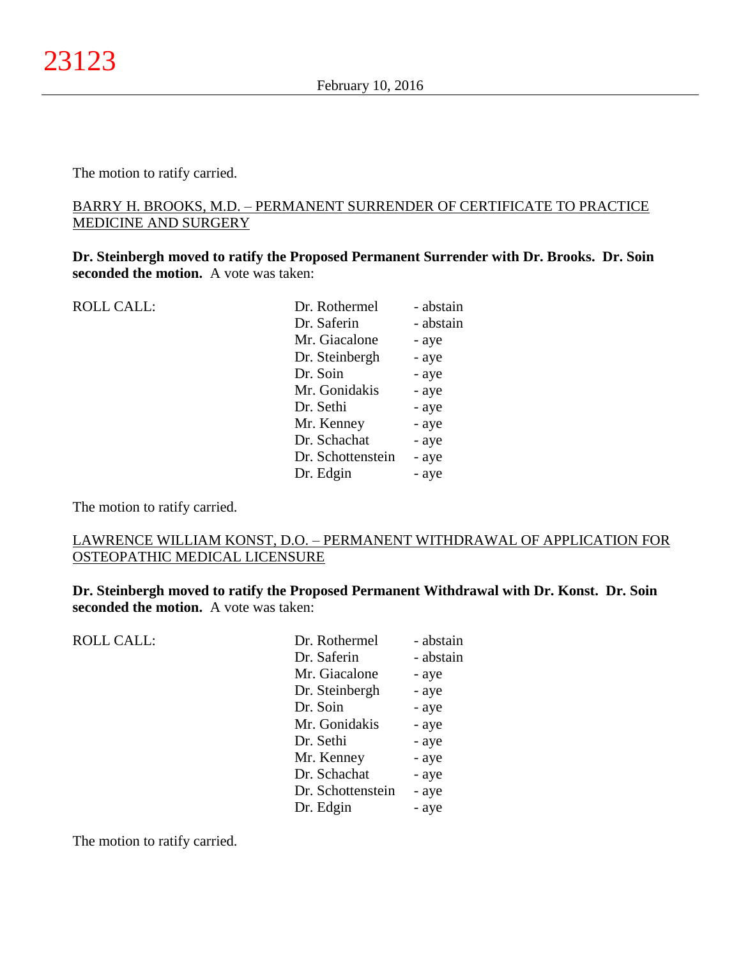The motion to ratify carried.

## BARRY H. BROOKS, M.D. – PERMANENT SURRENDER OF CERTIFICATE TO PRACTICE MEDICINE AND SURGERY

**Dr. Steinbergh moved to ratify the Proposed Permanent Surrender with Dr. Brooks. Dr. Soin seconded the motion.** A vote was taken:

| <b>ROLL CALL:</b> | Dr. Rothermel     | - abstain |
|-------------------|-------------------|-----------|
|                   | Dr. Saferin       | - abstain |
|                   | Mr. Giacalone     | - aye     |
|                   | Dr. Steinbergh    | - aye     |
|                   | Dr. Soin          | - aye     |
|                   | Mr. Gonidakis     | - aye     |
|                   | Dr. Sethi         | - aye     |
|                   | Mr. Kenney        | - aye     |
|                   | Dr. Schachat      | - aye     |
|                   | Dr. Schottenstein | - aye     |
|                   | Dr. Edgin         | - aye     |
|                   |                   |           |

The motion to ratify carried.

## LAWRENCE WILLIAM KONST, D.O. – PERMANENT WITHDRAWAL OF APPLICATION FOR OSTEOPATHIC MEDICAL LICENSURE

**Dr. Steinbergh moved to ratify the Proposed Permanent Withdrawal with Dr. Konst. Dr. Soin seconded the motion.** A vote was taken:

| <b>ROLL CALL:</b> | Dr. Rothermel     | - abstain |
|-------------------|-------------------|-----------|
|                   | Dr. Saferin       | - abstain |
|                   | Mr. Giacalone     | - aye     |
|                   | Dr. Steinbergh    | - aye     |
|                   | Dr. Soin          | - aye     |
|                   | Mr. Gonidakis     | - aye     |
|                   | Dr. Sethi         | - aye     |
|                   | Mr. Kenney        | - aye     |
|                   | Dr. Schachat      | - aye     |
|                   | Dr. Schottenstein | - aye     |
|                   | Dr. Edgin         | - aye     |

The motion to ratify carried.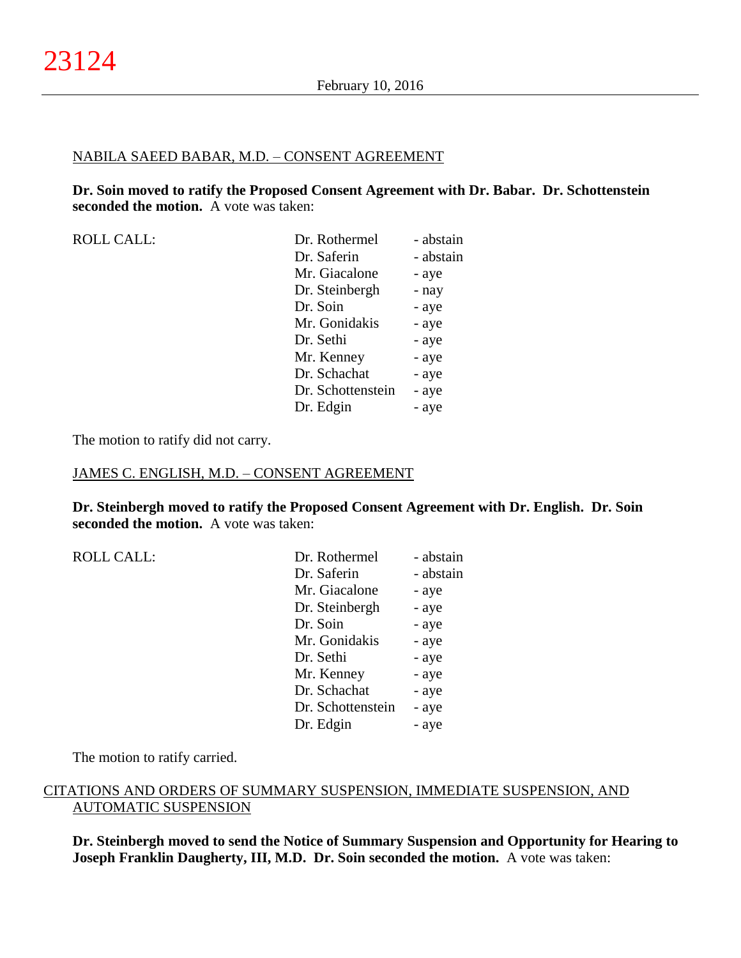#### NABILA SAEED BABAR, M.D. – CONSENT AGREEMENT

**Dr. Soin moved to ratify the Proposed Consent Agreement with Dr. Babar. Dr. Schottenstein seconded the motion.** A vote was taken:

| <b>ROLL CALL:</b> | Dr. Rothermel     | - abstain |
|-------------------|-------------------|-----------|
|                   | Dr. Saferin       | - abstain |
|                   | Mr. Giacalone     | - aye     |
|                   | Dr. Steinbergh    | - nay     |
|                   | Dr. Soin          | - aye     |
|                   | Mr. Gonidakis     | - aye     |
|                   | Dr. Sethi         | - aye     |
|                   | Mr. Kenney        | - aye     |
|                   | Dr. Schachat      | - aye     |
|                   | Dr. Schottenstein | - aye     |
|                   | Dr. Edgin         | - aye     |
|                   |                   |           |

The motion to ratify did not carry.

### JAMES C. ENGLISH, M.D. – CONSENT AGREEMENT

**Dr. Steinbergh moved to ratify the Proposed Consent Agreement with Dr. English. Dr. Soin seconded the motion.** A vote was taken:

| <b>ROLL CALL:</b> |
|-------------------|
|                   |

| <b>ROLL CALL:</b> | Dr. Rothermel     | - abstain |
|-------------------|-------------------|-----------|
|                   | Dr. Saferin       | - abstain |
|                   | Mr. Giacalone     | - aye     |
|                   | Dr. Steinbergh    | - aye     |
|                   | Dr. Soin          | - aye     |
|                   | Mr. Gonidakis     | - aye     |
|                   | Dr. Sethi         | - aye     |
|                   | Mr. Kenney        | - aye     |
|                   | Dr. Schachat      | - aye     |
|                   | Dr. Schottenstein | - aye     |
|                   | Dr. Edgin         | - aye     |
|                   |                   |           |

The motion to ratify carried.

## CITATIONS AND ORDERS OF SUMMARY SUSPENSION, IMMEDIATE SUSPENSION, AND AUTOMATIC SUSPENSION

**Dr. Steinbergh moved to send the Notice of Summary Suspension and Opportunity for Hearing to Joseph Franklin Daugherty, III, M.D. Dr. Soin seconded the motion.** A vote was taken: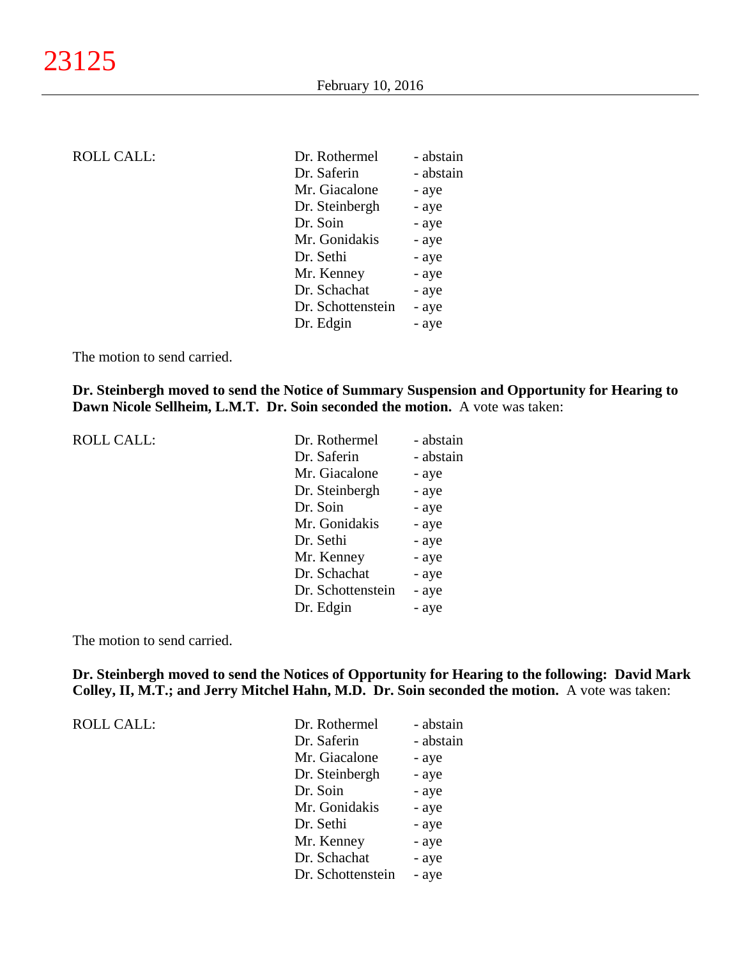| ROLL CALL: |
|------------|
|------------|

| <b>ROLL CALL:</b> | Dr. Rothermel     | - abstain |
|-------------------|-------------------|-----------|
|                   | Dr. Saferin       | - abstain |
|                   | Mr. Giacalone     | - aye     |
|                   | Dr. Steinbergh    | - aye     |
|                   | Dr. Soin          | - aye     |
|                   | Mr. Gonidakis     | - aye     |
|                   | Dr. Sethi         | - aye     |
|                   | Mr. Kenney        | - aye     |
|                   | Dr. Schachat      | - aye     |
|                   | Dr. Schottenstein | - aye     |
|                   | Dr. Edgin         | - aye     |
|                   |                   |           |

The motion to send carried.

**Dr. Steinbergh moved to send the Notice of Summary Suspension and Opportunity for Hearing to Dawn Nicole Sellheim, L.M.T. Dr. Soin seconded the motion.** A vote was taken:

| <b>ROLL CALL:</b> | Dr. Rothermel     | - abstain |
|-------------------|-------------------|-----------|
|                   | Dr. Saferin       | - abstain |
|                   | Mr. Giacalone     | - aye     |
|                   | Dr. Steinbergh    | - aye     |
|                   | Dr. Soin          | - aye     |
|                   | Mr. Gonidakis     | - aye     |
|                   | Dr. Sethi         | - aye     |
|                   | Mr. Kenney        | - aye     |
|                   | Dr. Schachat      | - aye     |
|                   | Dr. Schottenstein | - aye     |
|                   | Dr. Edgin         | - aye     |

The motion to send carried.

**Dr. Steinbergh moved to send the Notices of Opportunity for Hearing to the following: David Mark Colley, II, M.T.; and Jerry Mitchel Hahn, M.D. Dr. Soin seconded the motion.** A vote was taken:

| <b>ROLL CALL:</b> | Dr. Rothermel     | - abstain |
|-------------------|-------------------|-----------|
|                   | Dr. Saferin       | - abstain |
|                   | Mr. Giacalone     | - aye     |
|                   | Dr. Steinbergh    | - aye     |
|                   | Dr. Soin          | - aye     |
|                   | Mr. Gonidakis     | - aye     |
|                   | Dr. Sethi         | - aye     |
|                   | Mr. Kenney        | - aye     |
|                   | Dr. Schachat      | - aye     |
|                   | Dr. Schottenstein | - aye     |
|                   |                   |           |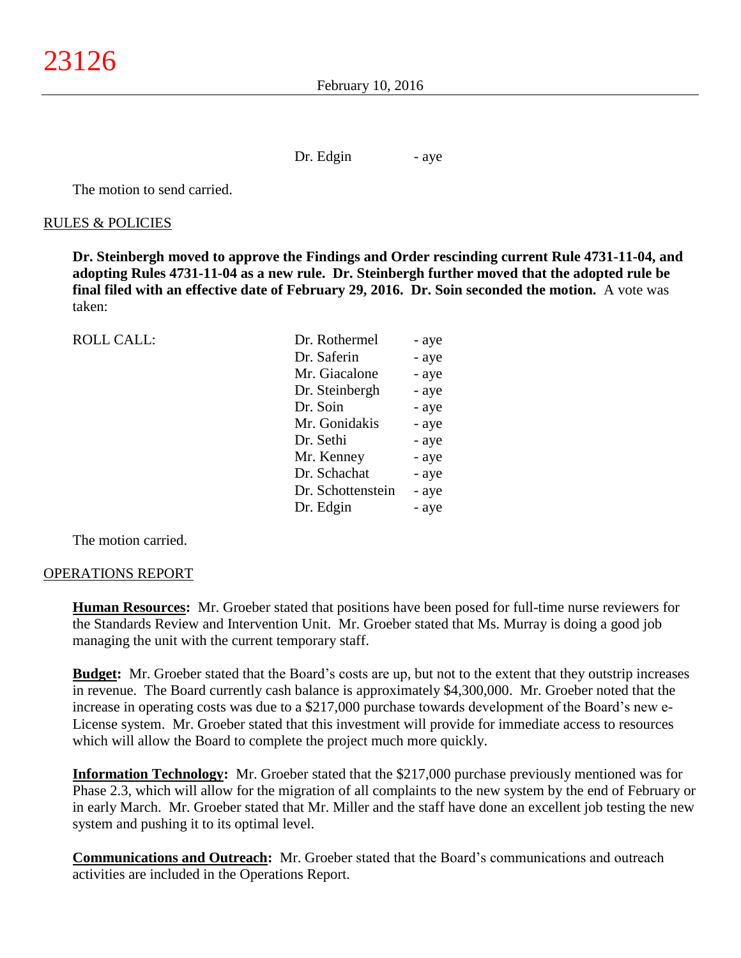Dr. Edgin - aye

The motion to send carried.

#### RULES & POLICIES

**Dr. Steinbergh moved to approve the Findings and Order rescinding current Rule 4731-11-04, and adopting Rules 4731-11-04 as a new rule. Dr. Steinbergh further moved that the adopted rule be final filed with an effective date of February 29, 2016. Dr. Soin seconded the motion.** A vote was taken:

| Dr. Rothermel<br>- aye |                                                                                                                                                          |
|------------------------|----------------------------------------------------------------------------------------------------------------------------------------------------------|
| - aye                  |                                                                                                                                                          |
| - aye                  |                                                                                                                                                          |
| - aye                  |                                                                                                                                                          |
| - aye                  |                                                                                                                                                          |
| - aye                  |                                                                                                                                                          |
| - aye                  |                                                                                                                                                          |
| - aye                  |                                                                                                                                                          |
| - aye                  |                                                                                                                                                          |
| - aye                  |                                                                                                                                                          |
| - aye                  |                                                                                                                                                          |
|                        | Dr. Saferin<br>Mr. Giacalone<br>Dr. Steinbergh<br>Dr. Soin<br>Mr. Gonidakis<br>Dr. Sethi<br>Mr. Kenney<br>Dr. Schachat<br>Dr. Schottenstein<br>Dr. Edgin |

The motion carried.

#### OPERATIONS REPORT

**Human Resources:** Mr. Groeber stated that positions have been posed for full-time nurse reviewers for the Standards Review and Intervention Unit. Mr. Groeber stated that Ms. Murray is doing a good job managing the unit with the current temporary staff.

**Budget:** Mr. Groeber stated that the Board's costs are up, but not to the extent that they outstrip increases in revenue. The Board currently cash balance is approximately \$4,300,000. Mr. Groeber noted that the increase in operating costs was due to a \$217,000 purchase towards development of the Board's new e-License system. Mr. Groeber stated that this investment will provide for immediate access to resources which will allow the Board to complete the project much more quickly.

**Information Technology:** Mr. Groeber stated that the \$217,000 purchase previously mentioned was for Phase 2.3, which will allow for the migration of all complaints to the new system by the end of February or in early March. Mr. Groeber stated that Mr. Miller and the staff have done an excellent job testing the new system and pushing it to its optimal level.

**Communications and Outreach:** Mr. Groeber stated that the Board's communications and outreach activities are included in the Operations Report.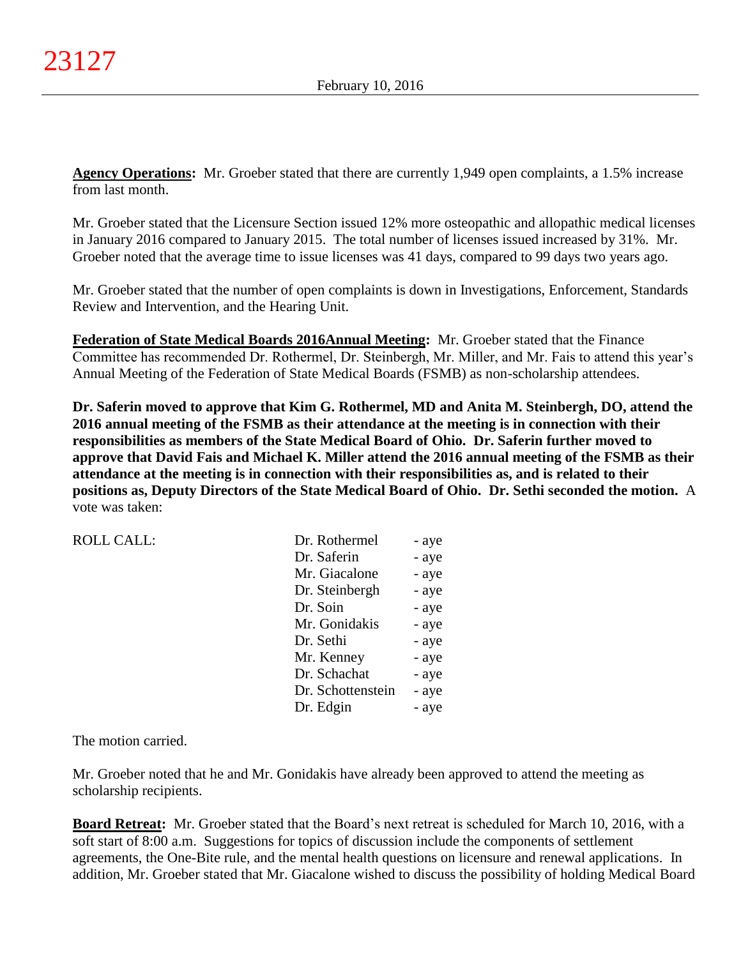**Agency Operations:** Mr. Groeber stated that there are currently 1,949 open complaints, a 1.5% increase from last month.

Mr. Groeber stated that the Licensure Section issued 12% more osteopathic and allopathic medical licenses in January 2016 compared to January 2015. The total number of licenses issued increased by 31%. Mr. Groeber noted that the average time to issue licenses was 41 days, compared to 99 days two years ago.

Mr. Groeber stated that the number of open complaints is down in Investigations, Enforcement, Standards Review and Intervention, and the Hearing Unit.

**Federation of State Medical Boards 2016Annual Meeting:** Mr. Groeber stated that the Finance Committee has recommended Dr. Rothermel, Dr. Steinbergh, Mr. Miller, and Mr. Fais to attend this year's Annual Meeting of the Federation of State Medical Boards (FSMB) as non-scholarship attendees.

**Dr. Saferin moved to approve that Kim G. Rothermel, MD and Anita M. Steinbergh, DO, attend the 2016 annual meeting of the FSMB as their attendance at the meeting is in connection with their responsibilities as members of the State Medical Board of Ohio. Dr. Saferin further moved to approve that David Fais and Michael K. Miller attend the 2016 annual meeting of the FSMB as their attendance at the meeting is in connection with their responsibilities as, and is related to their positions as, Deputy Directors of the State Medical Board of Ohio. Dr. Sethi seconded the motion.** A vote was taken:

| ROLL CALL: | Dr. Rothermel  | - aye |
|------------|----------------|-------|
|            | Dr. Saferin    | - aye |
|            | Mr. Giacalone  | - aye |
|            | Dr. Steinbergh | - aye |
|            | Dr. Soin       | - aye |
|            | Mr. Gonidakis  | - aye |
|            | Dr. Sethi      | - ave |

The motion carried.

Mr. Groeber noted that he and Mr. Gonidakis have already been approved to attend the meeting as scholarship recipients.

Mr. Kenney - aye Dr. Schachat - aye Dr. Schottenstein - aye Dr. Edgin - aye

**Board Retreat:** Mr. Groeber stated that the Board's next retreat is scheduled for March 10, 2016, with a soft start of 8:00 a.m. Suggestions for topics of discussion include the components of settlement agreements, the One-Bite rule, and the mental health questions on licensure and renewal applications. In addition, Mr. Groeber stated that Mr. Giacalone wished to discuss the possibility of holding Medical Board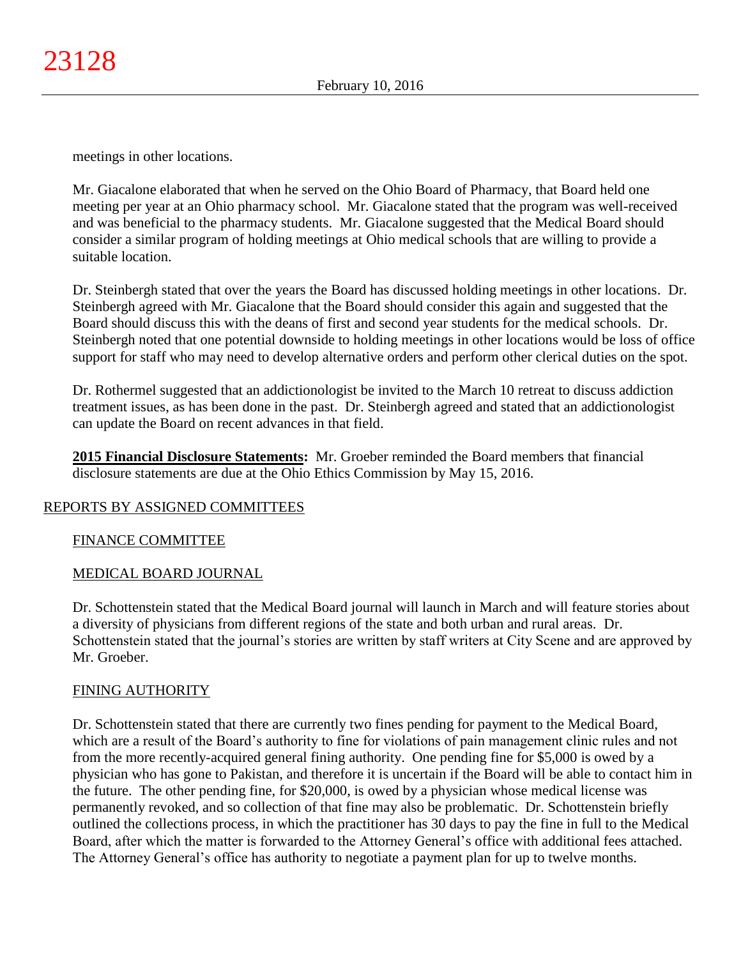meetings in other locations.

Mr. Giacalone elaborated that when he served on the Ohio Board of Pharmacy, that Board held one meeting per year at an Ohio pharmacy school. Mr. Giacalone stated that the program was well-received and was beneficial to the pharmacy students. Mr. Giacalone suggested that the Medical Board should consider a similar program of holding meetings at Ohio medical schools that are willing to provide a suitable location.

Dr. Steinbergh stated that over the years the Board has discussed holding meetings in other locations. Dr. Steinbergh agreed with Mr. Giacalone that the Board should consider this again and suggested that the Board should discuss this with the deans of first and second year students for the medical schools. Dr. Steinbergh noted that one potential downside to holding meetings in other locations would be loss of office support for staff who may need to develop alternative orders and perform other clerical duties on the spot.

Dr. Rothermel suggested that an addictionologist be invited to the March 10 retreat to discuss addiction treatment issues, as has been done in the past. Dr. Steinbergh agreed and stated that an addictionologist can update the Board on recent advances in that field.

**2015 Financial Disclosure Statements:** Mr. Groeber reminded the Board members that financial disclosure statements are due at the Ohio Ethics Commission by May 15, 2016.

## REPORTS BY ASSIGNED COMMITTEES

## FINANCE COMMITTEE

## MEDICAL BOARD JOURNAL

Dr. Schottenstein stated that the Medical Board journal will launch in March and will feature stories about a diversity of physicians from different regions of the state and both urban and rural areas. Dr. Schottenstein stated that the journal's stories are written by staff writers at City Scene and are approved by Mr. Groeber.

## FINING AUTHORITY

Dr. Schottenstein stated that there are currently two fines pending for payment to the Medical Board, which are a result of the Board's authority to fine for violations of pain management clinic rules and not from the more recently-acquired general fining authority. One pending fine for \$5,000 is owed by a physician who has gone to Pakistan, and therefore it is uncertain if the Board will be able to contact him in the future. The other pending fine, for \$20,000, is owed by a physician whose medical license was permanently revoked, and so collection of that fine may also be problematic. Dr. Schottenstein briefly outlined the collections process, in which the practitioner has 30 days to pay the fine in full to the Medical Board, after which the matter is forwarded to the Attorney General's office with additional fees attached. The Attorney General's office has authority to negotiate a payment plan for up to twelve months.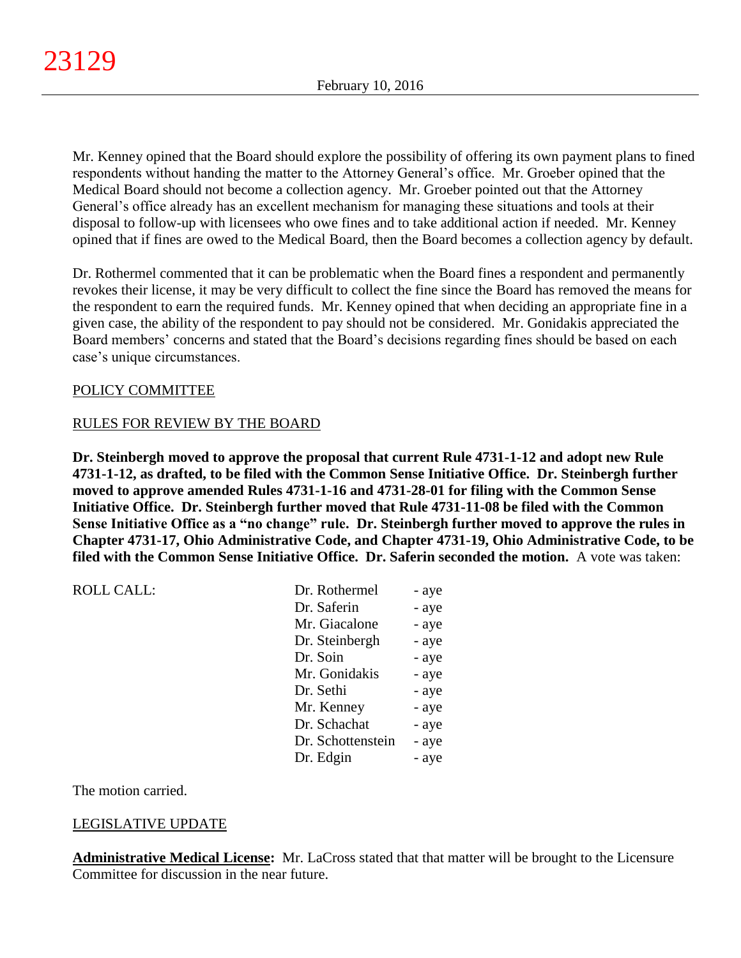Mr. Kenney opined that the Board should explore the possibility of offering its own payment plans to fined respondents without handing the matter to the Attorney General's office. Mr. Groeber opined that the Medical Board should not become a collection agency. Mr. Groeber pointed out that the Attorney General's office already has an excellent mechanism for managing these situations and tools at their disposal to follow-up with licensees who owe fines and to take additional action if needed. Mr. Kenney opined that if fines are owed to the Medical Board, then the Board becomes a collection agency by default.

Dr. Rothermel commented that it can be problematic when the Board fines a respondent and permanently revokes their license, it may be very difficult to collect the fine since the Board has removed the means for the respondent to earn the required funds. Mr. Kenney opined that when deciding an appropriate fine in a given case, the ability of the respondent to pay should not be considered. Mr. Gonidakis appreciated the Board members' concerns and stated that the Board's decisions regarding fines should be based on each case's unique circumstances.

## POLICY COMMITTEE

## RULES FOR REVIEW BY THE BOARD

**Dr. Steinbergh moved to approve the proposal that current Rule 4731-1-12 and adopt new Rule 4731-1-12, as drafted, to be filed with the Common Sense Initiative Office. Dr. Steinbergh further moved to approve amended Rules 4731-1-16 and 4731-28-01 for filing with the Common Sense Initiative Office. Dr. Steinbergh further moved that Rule 4731-11-08 be filed with the Common Sense Initiative Office as a "no change" rule. Dr. Steinbergh further moved to approve the rules in Chapter 4731-17, Ohio Administrative Code, and Chapter 4731-19, Ohio Administrative Code, to be filed with the Common Sense Initiative Office. Dr. Saferin seconded the motion.** A vote was taken:

| <b>ROLL CALL:</b> | Dr. Rothermel     | - aye |
|-------------------|-------------------|-------|
|                   | Dr. Saferin       | - aye |
|                   | Mr. Giacalone     | - aye |
|                   | Dr. Steinbergh    | - aye |
|                   | Dr. Soin          | - aye |
|                   | Mr. Gonidakis     | - aye |
|                   | Dr. Sethi         | - aye |
|                   | Mr. Kenney        | - aye |
|                   | Dr. Schachat      | - aye |
|                   | Dr. Schottenstein | - aye |
|                   | Dr. Edgin         | - aye |
|                   |                   |       |

The motion carried.

# LEGISLATIVE UPDATE

**Administrative Medical License:** Mr. LaCross stated that that matter will be brought to the Licensure Committee for discussion in the near future.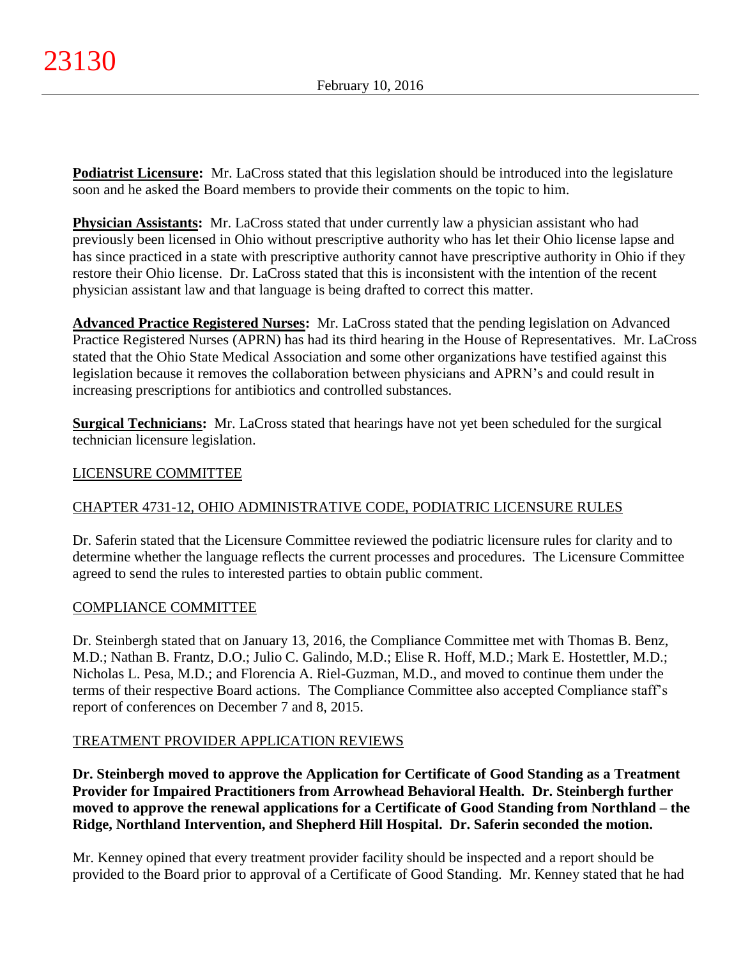**Podiatrist Licensure:** Mr. LaCross stated that this legislation should be introduced into the legislature soon and he asked the Board members to provide their comments on the topic to him.

**Physician Assistants:** Mr. LaCross stated that under currently law a physician assistant who had previously been licensed in Ohio without prescriptive authority who has let their Ohio license lapse and has since practiced in a state with prescriptive authority cannot have prescriptive authority in Ohio if they restore their Ohio license. Dr. LaCross stated that this is inconsistent with the intention of the recent physician assistant law and that language is being drafted to correct this matter.

**Advanced Practice Registered Nurses:** Mr. LaCross stated that the pending legislation on Advanced Practice Registered Nurses (APRN) has had its third hearing in the House of Representatives. Mr. LaCross stated that the Ohio State Medical Association and some other organizations have testified against this legislation because it removes the collaboration between physicians and APRN's and could result in increasing prescriptions for antibiotics and controlled substances.

**Surgical Technicians:** Mr. LaCross stated that hearings have not yet been scheduled for the surgical technician licensure legislation.

# LICENSURE COMMITTEE

# CHAPTER 4731-12, OHIO ADMINISTRATIVE CODE, PODIATRIC LICENSURE RULES

Dr. Saferin stated that the Licensure Committee reviewed the podiatric licensure rules for clarity and to determine whether the language reflects the current processes and procedures. The Licensure Committee agreed to send the rules to interested parties to obtain public comment.

# COMPLIANCE COMMITTEE

Dr. Steinbergh stated that on January 13, 2016, the Compliance Committee met with Thomas B. Benz, M.D.; Nathan B. Frantz, D.O.; Julio C. Galindo, M.D.; Elise R. Hoff, M.D.; Mark E. Hostettler, M.D.; Nicholas L. Pesa, M.D.; and Florencia A. Riel-Guzman, M.D., and moved to continue them under the terms of their respective Board actions. The Compliance Committee also accepted Compliance staff's report of conferences on December 7 and 8, 2015.

# TREATMENT PROVIDER APPLICATION REVIEWS

**Dr. Steinbergh moved to approve the Application for Certificate of Good Standing as a Treatment Provider for Impaired Practitioners from Arrowhead Behavioral Health. Dr. Steinbergh further moved to approve the renewal applications for a Certificate of Good Standing from Northland – the Ridge, Northland Intervention, and Shepherd Hill Hospital. Dr. Saferin seconded the motion.**

Mr. Kenney opined that every treatment provider facility should be inspected and a report should be provided to the Board prior to approval of a Certificate of Good Standing. Mr. Kenney stated that he had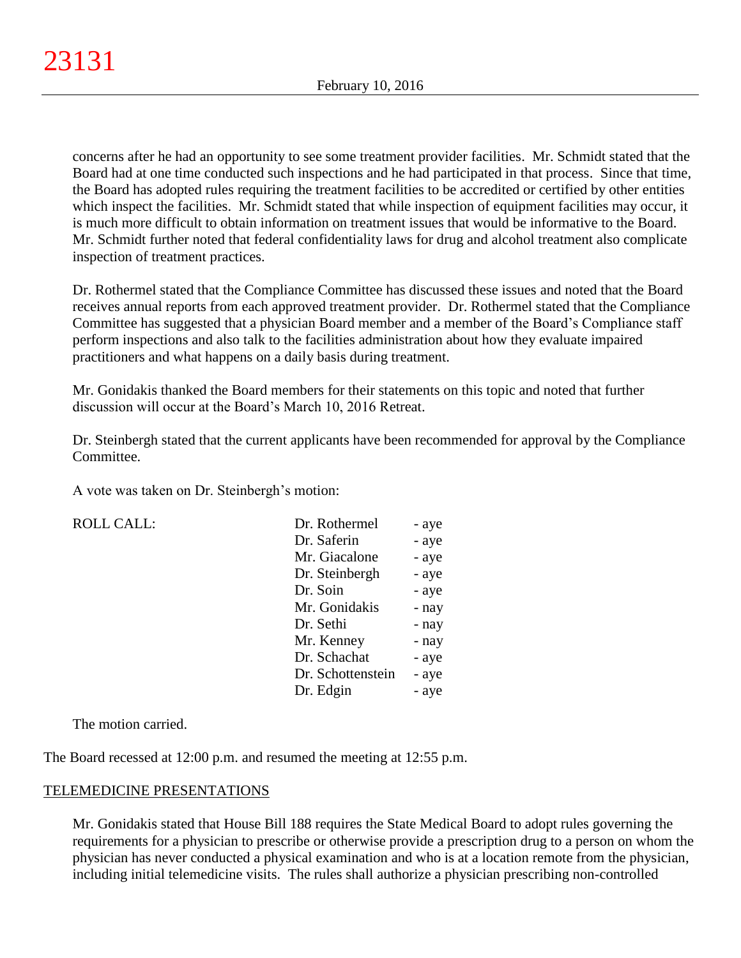concerns after he had an opportunity to see some treatment provider facilities. Mr. Schmidt stated that the Board had at one time conducted such inspections and he had participated in that process. Since that time, the Board has adopted rules requiring the treatment facilities to be accredited or certified by other entities which inspect the facilities. Mr. Schmidt stated that while inspection of equipment facilities may occur, it is much more difficult to obtain information on treatment issues that would be informative to the Board. Mr. Schmidt further noted that federal confidentiality laws for drug and alcohol treatment also complicate inspection of treatment practices.

Dr. Rothermel stated that the Compliance Committee has discussed these issues and noted that the Board receives annual reports from each approved treatment provider. Dr. Rothermel stated that the Compliance Committee has suggested that a physician Board member and a member of the Board's Compliance staff perform inspections and also talk to the facilities administration about how they evaluate impaired practitioners and what happens on a daily basis during treatment.

Mr. Gonidakis thanked the Board members for their statements on this topic and noted that further discussion will occur at the Board's March 10, 2016 Retreat.

Dr. Steinbergh stated that the current applicants have been recommended for approval by the Compliance Committee.

A vote was taken on Dr. Steinbergh's motion:

 $ROLL CALL$ :

| Dr. Rothermel     | - aye |
|-------------------|-------|
| Dr. Saferin       | - aye |
| Mr. Giacalone     | - aye |
| Dr. Steinbergh    | - aye |
| Dr. Soin          | - aye |
| Mr. Gonidakis     | - nay |
| Dr. Sethi         | - nay |
| Mr. Kenney        | - nay |
| Dr. Schachat      | - aye |
| Dr. Schottenstein | - aye |
| Dr. Edgin         | - aye |

The motion carried.

The Board recessed at 12:00 p.m. and resumed the meeting at 12:55 p.m.

## TELEMEDICINE PRESENTATIONS

Mr. Gonidakis stated that House Bill 188 requires the State Medical Board to adopt rules governing the requirements for a physician to prescribe or otherwise provide a prescription drug to a person on whom the physician has never conducted a physical examination and who is at a location remote from the physician, including initial telemedicine visits. The rules shall authorize a physician prescribing non-controlled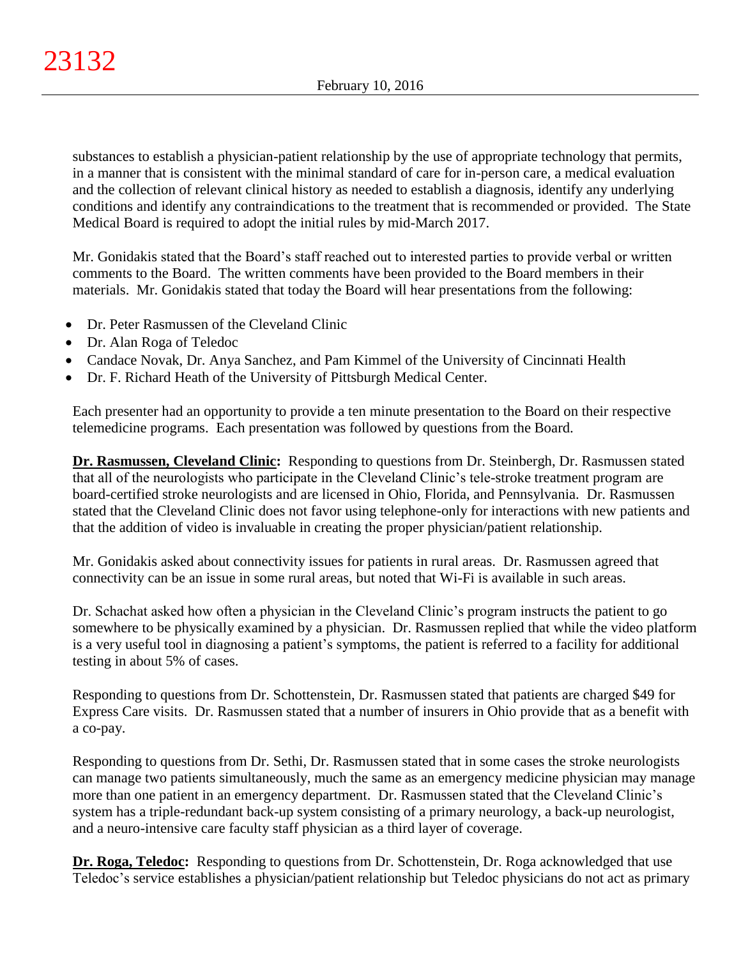substances to establish a physician-patient relationship by the use of appropriate technology that permits, in a manner that is consistent with the minimal standard of care for in-person care, a medical evaluation and the collection of relevant clinical history as needed to establish a diagnosis, identify any underlying conditions and identify any contraindications to the treatment that is recommended or provided. The State Medical Board is required to adopt the initial rules by mid-March 2017.

Mr. Gonidakis stated that the Board's staff reached out to interested parties to provide verbal or written comments to the Board. The written comments have been provided to the Board members in their materials. Mr. Gonidakis stated that today the Board will hear presentations from the following:

- Dr. Peter Rasmussen of the Cleveland Clinic
- Dr. Alan Roga of Teledoc
- Candace Novak, Dr. Anya Sanchez, and Pam Kimmel of the University of Cincinnati Health
- Dr. F. Richard Heath of the University of Pittsburgh Medical Center.

Each presenter had an opportunity to provide a ten minute presentation to the Board on their respective telemedicine programs. Each presentation was followed by questions from the Board.

**Dr. Rasmussen, Cleveland Clinic:** Responding to questions from Dr. Steinbergh, Dr. Rasmussen stated that all of the neurologists who participate in the Cleveland Clinic's tele-stroke treatment program are board-certified stroke neurologists and are licensed in Ohio, Florida, and Pennsylvania. Dr. Rasmussen stated that the Cleveland Clinic does not favor using telephone-only for interactions with new patients and that the addition of video is invaluable in creating the proper physician/patient relationship.

Mr. Gonidakis asked about connectivity issues for patients in rural areas. Dr. Rasmussen agreed that connectivity can be an issue in some rural areas, but noted that Wi-Fi is available in such areas.

Dr. Schachat asked how often a physician in the Cleveland Clinic's program instructs the patient to go somewhere to be physically examined by a physician. Dr. Rasmussen replied that while the video platform is a very useful tool in diagnosing a patient's symptoms, the patient is referred to a facility for additional testing in about 5% of cases.

Responding to questions from Dr. Schottenstein, Dr. Rasmussen stated that patients are charged \$49 for Express Care visits. Dr. Rasmussen stated that a number of insurers in Ohio provide that as a benefit with a co-pay.

Responding to questions from Dr. Sethi, Dr. Rasmussen stated that in some cases the stroke neurologists can manage two patients simultaneously, much the same as an emergency medicine physician may manage more than one patient in an emergency department. Dr. Rasmussen stated that the Cleveland Clinic's system has a triple-redundant back-up system consisting of a primary neurology, a back-up neurologist, and a neuro-intensive care faculty staff physician as a third layer of coverage.

**Dr. Roga, Teledoc:** Responding to questions from Dr. Schottenstein, Dr. Roga acknowledged that use Teledoc's service establishes a physician/patient relationship but Teledoc physicians do not act as primary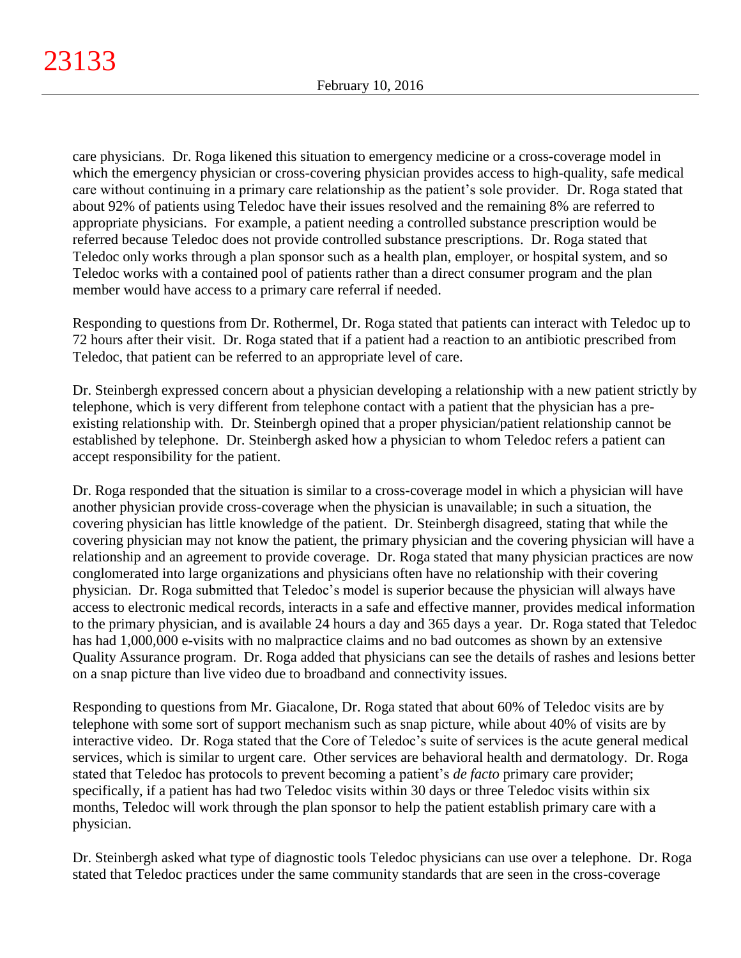care physicians. Dr. Roga likened this situation to emergency medicine or a cross-coverage model in which the emergency physician or cross-covering physician provides access to high-quality, safe medical care without continuing in a primary care relationship as the patient's sole provider. Dr. Roga stated that about 92% of patients using Teledoc have their issues resolved and the remaining 8% are referred to appropriate physicians. For example, a patient needing a controlled substance prescription would be referred because Teledoc does not provide controlled substance prescriptions. Dr. Roga stated that Teledoc only works through a plan sponsor such as a health plan, employer, or hospital system, and so Teledoc works with a contained pool of patients rather than a direct consumer program and the plan member would have access to a primary care referral if needed.

Responding to questions from Dr. Rothermel, Dr. Roga stated that patients can interact with Teledoc up to 72 hours after their visit. Dr. Roga stated that if a patient had a reaction to an antibiotic prescribed from Teledoc, that patient can be referred to an appropriate level of care.

Dr. Steinbergh expressed concern about a physician developing a relationship with a new patient strictly by telephone, which is very different from telephone contact with a patient that the physician has a preexisting relationship with. Dr. Steinbergh opined that a proper physician/patient relationship cannot be established by telephone. Dr. Steinbergh asked how a physician to whom Teledoc refers a patient can accept responsibility for the patient.

Dr. Roga responded that the situation is similar to a cross-coverage model in which a physician will have another physician provide cross-coverage when the physician is unavailable; in such a situation, the covering physician has little knowledge of the patient. Dr. Steinbergh disagreed, stating that while the covering physician may not know the patient, the primary physician and the covering physician will have a relationship and an agreement to provide coverage. Dr. Roga stated that many physician practices are now conglomerated into large organizations and physicians often have no relationship with their covering physician. Dr. Roga submitted that Teledoc's model is superior because the physician will always have access to electronic medical records, interacts in a safe and effective manner, provides medical information to the primary physician, and is available 24 hours a day and 365 days a year. Dr. Roga stated that Teledoc has had 1,000,000 e-visits with no malpractice claims and no bad outcomes as shown by an extensive Quality Assurance program. Dr. Roga added that physicians can see the details of rashes and lesions better on a snap picture than live video due to broadband and connectivity issues.

Responding to questions from Mr. Giacalone, Dr. Roga stated that about 60% of Teledoc visits are by telephone with some sort of support mechanism such as snap picture, while about 40% of visits are by interactive video. Dr. Roga stated that the Core of Teledoc's suite of services is the acute general medical services, which is similar to urgent care. Other services are behavioral health and dermatology. Dr. Roga stated that Teledoc has protocols to prevent becoming a patient's *de facto* primary care provider; specifically, if a patient has had two Teledoc visits within 30 days or three Teledoc visits within six months, Teledoc will work through the plan sponsor to help the patient establish primary care with a physician.

Dr. Steinbergh asked what type of diagnostic tools Teledoc physicians can use over a telephone. Dr. Roga stated that Teledoc practices under the same community standards that are seen in the cross-coverage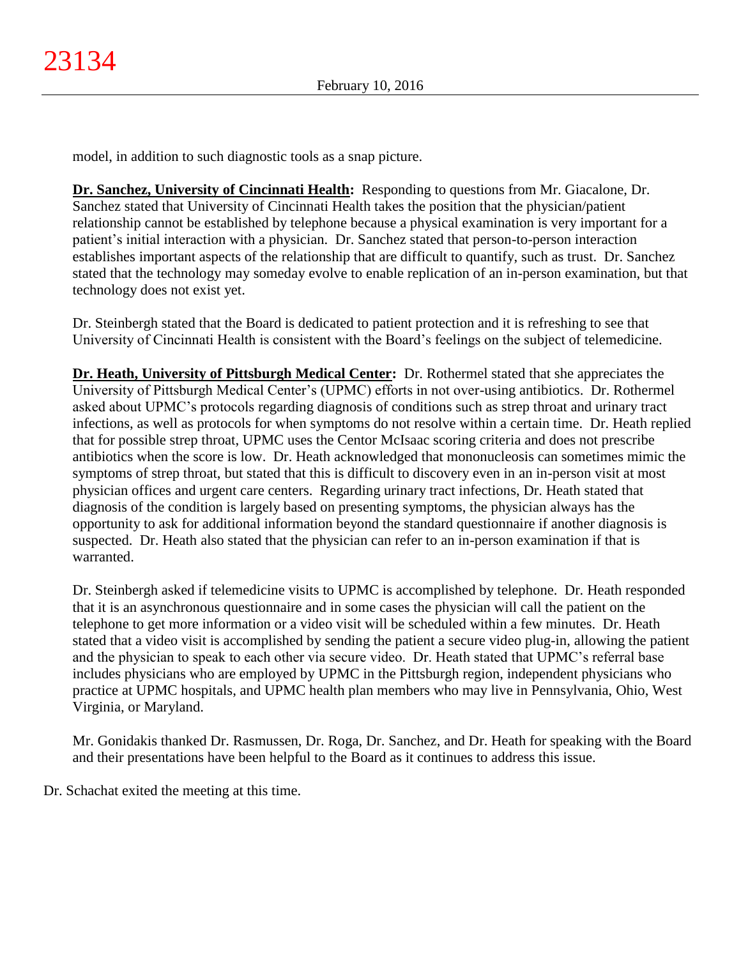model, in addition to such diagnostic tools as a snap picture.

**Dr. Sanchez, University of Cincinnati Health:** Responding to questions from Mr. Giacalone, Dr. Sanchez stated that University of Cincinnati Health takes the position that the physician/patient relationship cannot be established by telephone because a physical examination is very important for a patient's initial interaction with a physician. Dr. Sanchez stated that person-to-person interaction establishes important aspects of the relationship that are difficult to quantify, such as trust. Dr. Sanchez stated that the technology may someday evolve to enable replication of an in-person examination, but that technology does not exist yet.

Dr. Steinbergh stated that the Board is dedicated to patient protection and it is refreshing to see that University of Cincinnati Health is consistent with the Board's feelings on the subject of telemedicine.

**Dr. Heath, University of Pittsburgh Medical Center:** Dr. Rothermel stated that she appreciates the University of Pittsburgh Medical Center's (UPMC) efforts in not over-using antibiotics. Dr. Rothermel asked about UPMC's protocols regarding diagnosis of conditions such as strep throat and urinary tract infections, as well as protocols for when symptoms do not resolve within a certain time. Dr. Heath replied that for possible strep throat, UPMC uses the Centor McIsaac scoring criteria and does not prescribe antibiotics when the score is low. Dr. Heath acknowledged that mononucleosis can sometimes mimic the symptoms of strep throat, but stated that this is difficult to discovery even in an in-person visit at most physician offices and urgent care centers. Regarding urinary tract infections, Dr. Heath stated that diagnosis of the condition is largely based on presenting symptoms, the physician always has the opportunity to ask for additional information beyond the standard questionnaire if another diagnosis is suspected. Dr. Heath also stated that the physician can refer to an in-person examination if that is warranted.

Dr. Steinbergh asked if telemedicine visits to UPMC is accomplished by telephone. Dr. Heath responded that it is an asynchronous questionnaire and in some cases the physician will call the patient on the telephone to get more information or a video visit will be scheduled within a few minutes. Dr. Heath stated that a video visit is accomplished by sending the patient a secure video plug-in, allowing the patient and the physician to speak to each other via secure video. Dr. Heath stated that UPMC's referral base includes physicians who are employed by UPMC in the Pittsburgh region, independent physicians who practice at UPMC hospitals, and UPMC health plan members who may live in Pennsylvania, Ohio, West Virginia, or Maryland.

Mr. Gonidakis thanked Dr. Rasmussen, Dr. Roga, Dr. Sanchez, and Dr. Heath for speaking with the Board and their presentations have been helpful to the Board as it continues to address this issue.

Dr. Schachat exited the meeting at this time.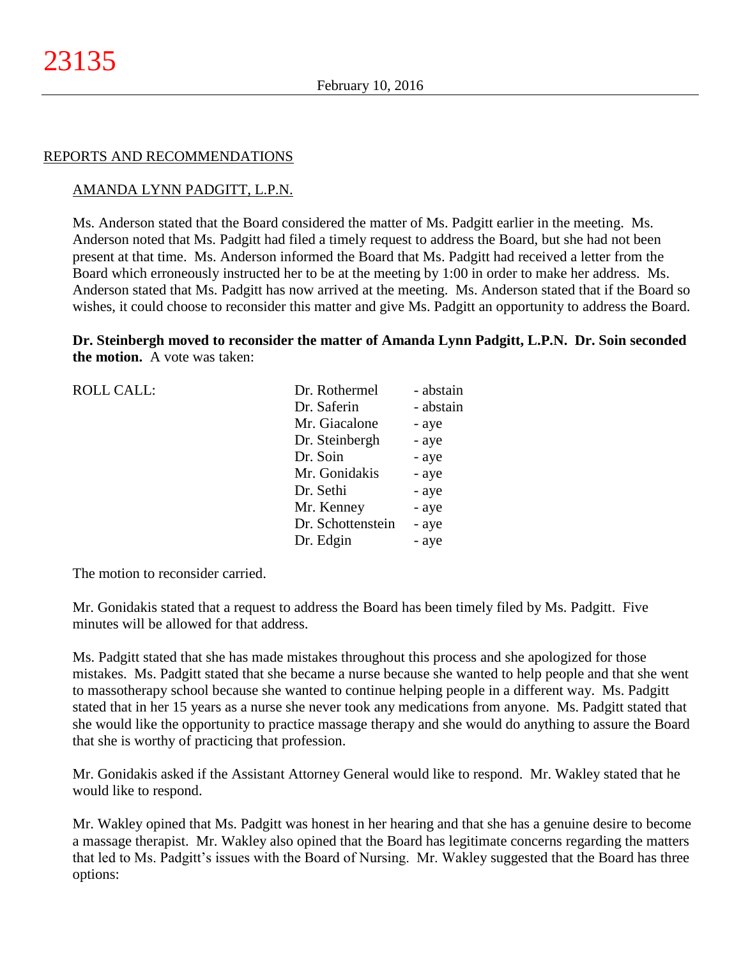#### REPORTS AND RECOMMENDATIONS

### AMANDA LYNN PADGITT, L.P.N.

Ms. Anderson stated that the Board considered the matter of Ms. Padgitt earlier in the meeting. Ms. Anderson noted that Ms. Padgitt had filed a timely request to address the Board, but she had not been present at that time. Ms. Anderson informed the Board that Ms. Padgitt had received a letter from the Board which erroneously instructed her to be at the meeting by 1:00 in order to make her address. Ms. Anderson stated that Ms. Padgitt has now arrived at the meeting. Ms. Anderson stated that if the Board so wishes, it could choose to reconsider this matter and give Ms. Padgitt an opportunity to address the Board.

**Dr. Steinbergh moved to reconsider the matter of Amanda Lynn Padgitt, L.P.N. Dr. Soin seconded the motion.** A vote was taken:

| <b>ROLL CALL:</b> | Dr. Rothermel     | - abstain |
|-------------------|-------------------|-----------|
|                   | Dr. Saferin       | - abstain |
|                   | Mr. Giacalone     | - aye     |
|                   | Dr. Steinbergh    | - aye     |
|                   | Dr. Soin          | - aye     |
|                   | Mr. Gonidakis     | - aye     |
|                   | Dr. Sethi         | - aye     |
|                   | Mr. Kenney        | - aye     |
|                   | Dr. Schottenstein | - aye     |
|                   | Dr. Edgin         | - aye     |
|                   |                   |           |

The motion to reconsider carried.

Mr. Gonidakis stated that a request to address the Board has been timely filed by Ms. Padgitt. Five minutes will be allowed for that address.

Ms. Padgitt stated that she has made mistakes throughout this process and she apologized for those mistakes. Ms. Padgitt stated that she became a nurse because she wanted to help people and that she went to massotherapy school because she wanted to continue helping people in a different way. Ms. Padgitt stated that in her 15 years as a nurse she never took any medications from anyone. Ms. Padgitt stated that she would like the opportunity to practice massage therapy and she would do anything to assure the Board that she is worthy of practicing that profession.

Mr. Gonidakis asked if the Assistant Attorney General would like to respond. Mr. Wakley stated that he would like to respond.

Mr. Wakley opined that Ms. Padgitt was honest in her hearing and that she has a genuine desire to become a massage therapist. Mr. Wakley also opined that the Board has legitimate concerns regarding the matters that led to Ms. Padgitt's issues with the Board of Nursing. Mr. Wakley suggested that the Board has three options: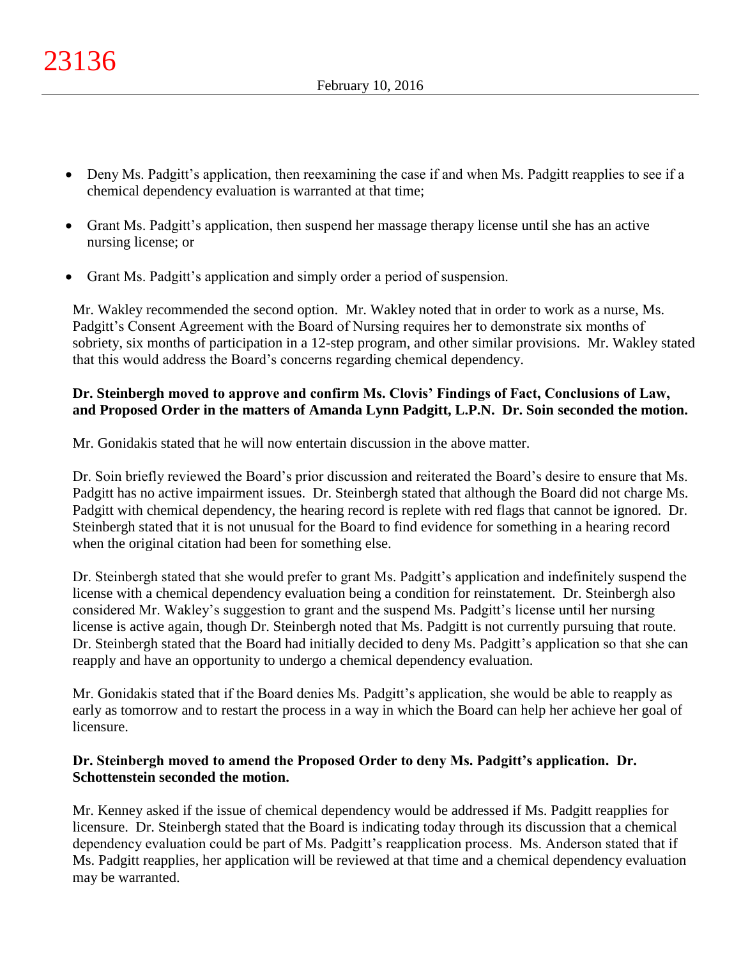- Deny Ms. Padgitt's application, then reexamining the case if and when Ms. Padgitt reapplies to see if a chemical dependency evaluation is warranted at that time;
- Grant Ms. Padgitt's application, then suspend her massage therapy license until she has an active nursing license; or
- Grant Ms. Padgitt's application and simply order a period of suspension.

Mr. Wakley recommended the second option. Mr. Wakley noted that in order to work as a nurse, Ms. Padgitt's Consent Agreement with the Board of Nursing requires her to demonstrate six months of sobriety, six months of participation in a 12-step program, and other similar provisions. Mr. Wakley stated that this would address the Board's concerns regarding chemical dependency.

## **Dr. Steinbergh moved to approve and confirm Ms. Clovis' Findings of Fact, Conclusions of Law, and Proposed Order in the matters of Amanda Lynn Padgitt, L.P.N. Dr. Soin seconded the motion.**

Mr. Gonidakis stated that he will now entertain discussion in the above matter.

Dr. Soin briefly reviewed the Board's prior discussion and reiterated the Board's desire to ensure that Ms. Padgitt has no active impairment issues. Dr. Steinbergh stated that although the Board did not charge Ms. Padgitt with chemical dependency, the hearing record is replete with red flags that cannot be ignored. Dr. Steinbergh stated that it is not unusual for the Board to find evidence for something in a hearing record when the original citation had been for something else.

Dr. Steinbergh stated that she would prefer to grant Ms. Padgitt's application and indefinitely suspend the license with a chemical dependency evaluation being a condition for reinstatement. Dr. Steinbergh also considered Mr. Wakley's suggestion to grant and the suspend Ms. Padgitt's license until her nursing license is active again, though Dr. Steinbergh noted that Ms. Padgitt is not currently pursuing that route. Dr. Steinbergh stated that the Board had initially decided to deny Ms. Padgitt's application so that she can reapply and have an opportunity to undergo a chemical dependency evaluation.

Mr. Gonidakis stated that if the Board denies Ms. Padgitt's application, she would be able to reapply as early as tomorrow and to restart the process in a way in which the Board can help her achieve her goal of licensure.

## **Dr. Steinbergh moved to amend the Proposed Order to deny Ms. Padgitt's application. Dr. Schottenstein seconded the motion.**

Mr. Kenney asked if the issue of chemical dependency would be addressed if Ms. Padgitt reapplies for licensure. Dr. Steinbergh stated that the Board is indicating today through its discussion that a chemical dependency evaluation could be part of Ms. Padgitt's reapplication process. Ms. Anderson stated that if Ms. Padgitt reapplies, her application will be reviewed at that time and a chemical dependency evaluation may be warranted.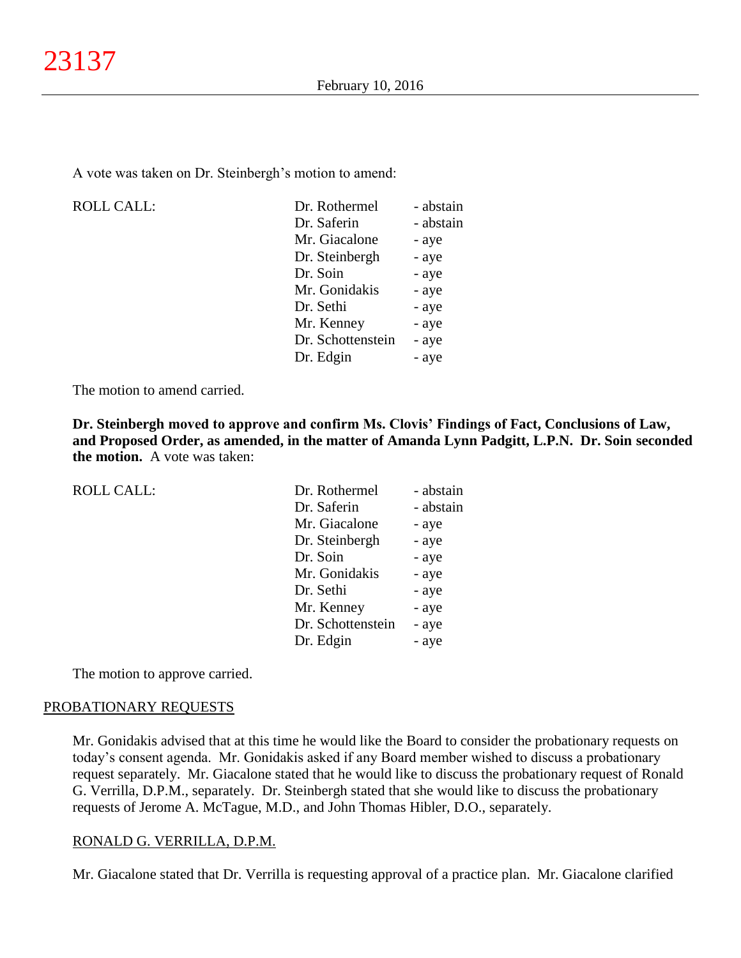A vote was taken on Dr. Steinbergh's motion to amend:

ROLL CALL:

| Dr. Rothermel     | - abstain |
|-------------------|-----------|
| Dr. Saferin       | - abstain |
| Mr. Giacalone     | - aye     |
| Dr. Steinbergh    | - aye     |
| Dr. Soin          | - aye     |
| Mr. Gonidakis     | - aye     |
| Dr. Sethi         | - aye     |
| Mr. Kenney        | - aye     |
| Dr. Schottenstein | - aye     |
| Dr. Edgin         | - aye     |
|                   |           |

The motion to amend carried.

**Dr. Steinbergh moved to approve and confirm Ms. Clovis' Findings of Fact, Conclusions of Law, and Proposed Order, as amended, in the matter of Amanda Lynn Padgitt, L.P.N. Dr. Soin seconded the motion.** A vote was taken:

| <b>ROLL CALL:</b> | Dr. Rothermel     | - abstain |
|-------------------|-------------------|-----------|
|                   | Dr. Saferin       | - abstain |
|                   | Mr. Giacalone     | - aye     |
|                   | Dr. Steinbergh    | - aye     |
|                   | Dr. Soin          | - aye     |
|                   | Mr. Gonidakis     | - aye     |
|                   | Dr. Sethi         | - aye     |
|                   | Mr. Kenney        | - aye     |
|                   | Dr. Schottenstein | - aye     |
|                   | Dr. Edgin         | - aye     |
|                   |                   |           |

The motion to approve carried.

## PROBATIONARY REQUESTS

Mr. Gonidakis advised that at this time he would like the Board to consider the probationary requests on today's consent agenda. Mr. Gonidakis asked if any Board member wished to discuss a probationary request separately. Mr. Giacalone stated that he would like to discuss the probationary request of Ronald G. Verrilla, D.P.M., separately. Dr. Steinbergh stated that she would like to discuss the probationary requests of Jerome A. McTague, M.D., and John Thomas Hibler, D.O., separately.

### RONALD G. VERRILLA, D.P.M.

Mr. Giacalone stated that Dr. Verrilla is requesting approval of a practice plan. Mr. Giacalone clarified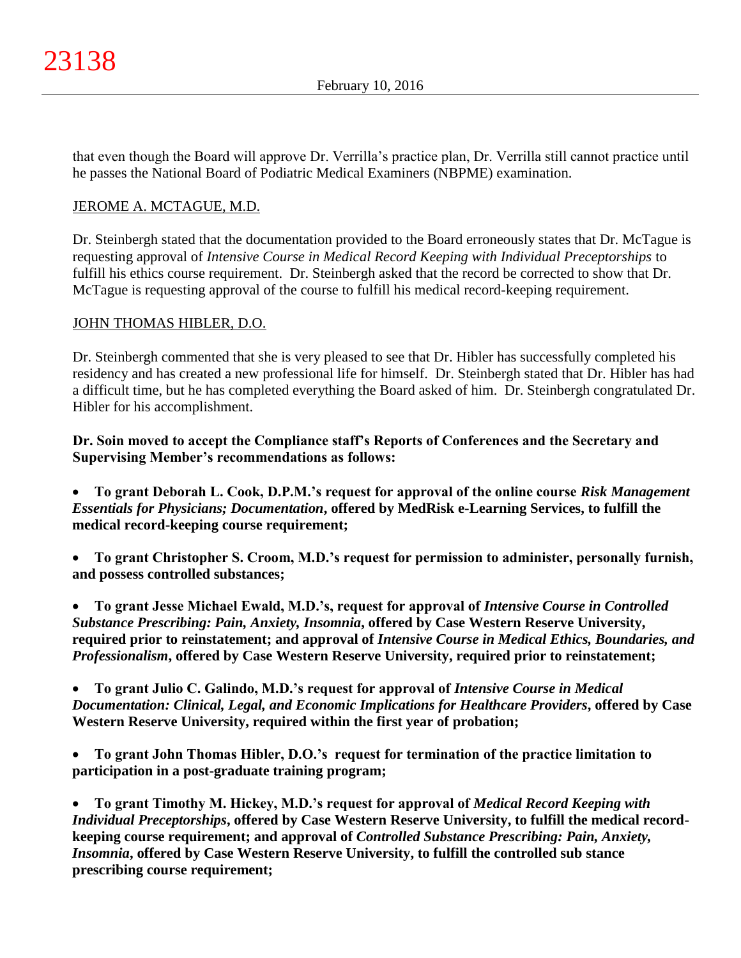that even though the Board will approve Dr. Verrilla's practice plan, Dr. Verrilla still cannot practice until he passes the National Board of Podiatric Medical Examiners (NBPME) examination.

## JEROME A. MCTAGUE, M.D.

Dr. Steinbergh stated that the documentation provided to the Board erroneously states that Dr. McTague is requesting approval of *Intensive Course in Medical Record Keeping with Individual Preceptorships* to fulfill his ethics course requirement. Dr. Steinbergh asked that the record be corrected to show that Dr. McTague is requesting approval of the course to fulfill his medical record-keeping requirement.

## JOHN THOMAS HIBLER, D.O.

Dr. Steinbergh commented that she is very pleased to see that Dr. Hibler has successfully completed his residency and has created a new professional life for himself. Dr. Steinbergh stated that Dr. Hibler has had a difficult time, but he has completed everything the Board asked of him. Dr. Steinbergh congratulated Dr. Hibler for his accomplishment.

**Dr. Soin moved to accept the Compliance staff's Reports of Conferences and the Secretary and Supervising Member's recommendations as follows:**

 **To grant Deborah L. Cook, D.P.M.'s request for approval of the online course** *Risk Management Essentials for Physicians; Documentation***, offered by MedRisk e-Learning Services, to fulfill the medical record-keeping course requirement;**

 **To grant Christopher S. Croom, M.D.'s request for permission to administer, personally furnish, and possess controlled substances;**

 **To grant Jesse Michael Ewald, M.D.'s, request for approval of** *Intensive Course in Controlled Substance Prescribing: Pain, Anxiety, Insomnia***, offered by Case Western Reserve University, required prior to reinstatement; and approval of** *Intensive Course in Medical Ethics, Boundaries, and Professionalism***, offered by Case Western Reserve University, required prior to reinstatement;**

 **To grant Julio C. Galindo, M.D.'s request for approval of** *Intensive Course in Medical Documentation: Clinical, Legal, and Economic Implications for Healthcare Providers***, offered by Case Western Reserve University, required within the first year of probation;**

 **To grant John Thomas Hibler, D.O.'s request for termination of the practice limitation to participation in a post-graduate training program;**

 **To grant Timothy M. Hickey, M.D.'s request for approval of** *Medical Record Keeping with Individual Preceptorships***, offered by Case Western Reserve University, to fulfill the medical recordkeeping course requirement; and approval of** *Controlled Substance Prescribing: Pain, Anxiety, Insomnia***, offered by Case Western Reserve University, to fulfill the controlled sub stance prescribing course requirement;**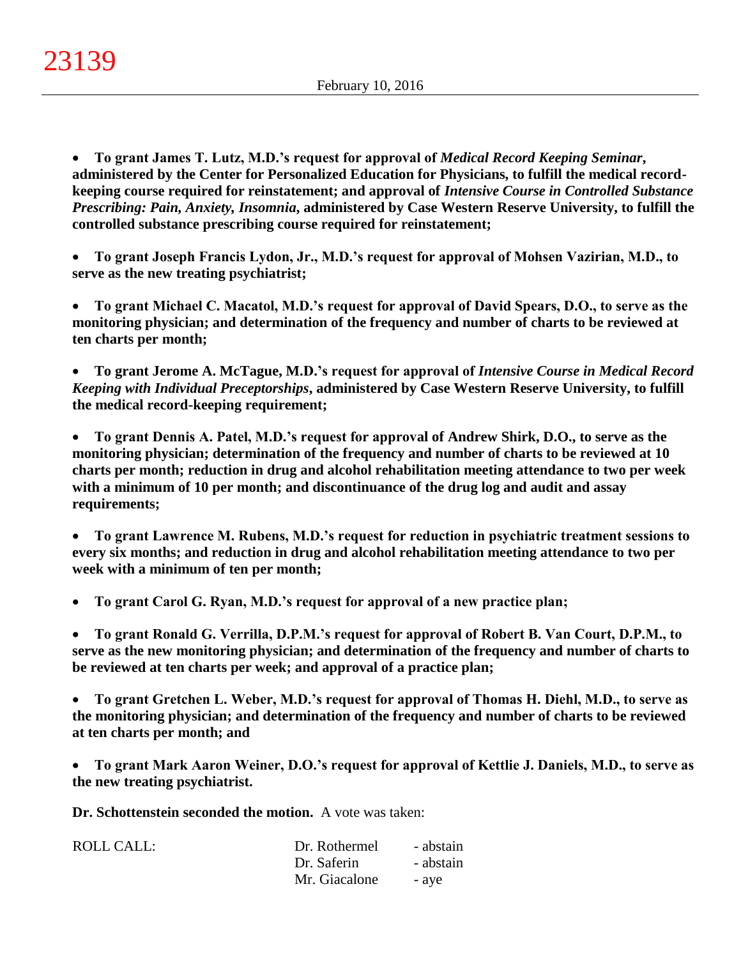**To grant James T. Lutz, M.D.'s request for approval of** *Medical Record Keeping Seminar***, administered by the Center for Personalized Education for Physicians, to fulfill the medical recordkeeping course required for reinstatement; and approval of** *Intensive Course in Controlled Substance Prescribing: Pain, Anxiety, Insomnia***, administered by Case Western Reserve University, to fulfill the controlled substance prescribing course required for reinstatement;**

 **To grant Joseph Francis Lydon, Jr., M.D.'s request for approval of Mohsen Vazirian, M.D., to serve as the new treating psychiatrist;**

 **To grant Michael C. Macatol, M.D.'s request for approval of David Spears, D.O., to serve as the monitoring physician; and determination of the frequency and number of charts to be reviewed at ten charts per month;**

 **To grant Jerome A. McTague, M.D.'s request for approval of** *Intensive Course in Medical Record Keeping with Individual Preceptorships***, administered by Case Western Reserve University, to fulfill the medical record-keeping requirement;**

 **To grant Dennis A. Patel, M.D.'s request for approval of Andrew Shirk, D.O., to serve as the monitoring physician; determination of the frequency and number of charts to be reviewed at 10 charts per month; reduction in drug and alcohol rehabilitation meeting attendance to two per week with a minimum of 10 per month; and discontinuance of the drug log and audit and assay requirements;**

 **To grant Lawrence M. Rubens, M.D.'s request for reduction in psychiatric treatment sessions to every six months; and reduction in drug and alcohol rehabilitation meeting attendance to two per week with a minimum of ten per month;**

**To grant Carol G. Ryan, M.D.'s request for approval of a new practice plan;**

 **To grant Ronald G. Verrilla, D.P.M.'s request for approval of Robert B. Van Court, D.P.M., to serve as the new monitoring physician; and determination of the frequency and number of charts to be reviewed at ten charts per week; and approval of a practice plan;**

 **To grant Gretchen L. Weber, M.D.'s request for approval of Thomas H. Diehl, M.D., to serve as the monitoring physician; and determination of the frequency and number of charts to be reviewed at ten charts per month; and**

 **To grant Mark Aaron Weiner, D.O.'s request for approval of Kettlie J. Daniels, M.D., to serve as the new treating psychiatrist.**

**Dr. Schottenstein seconded the motion.** A vote was taken:

| ROLL CALL: | Dr. Rothermel | - abstain |
|------------|---------------|-----------|
|            | Dr. Saferin   | - abstain |
|            | Mr. Giacalone | - ave     |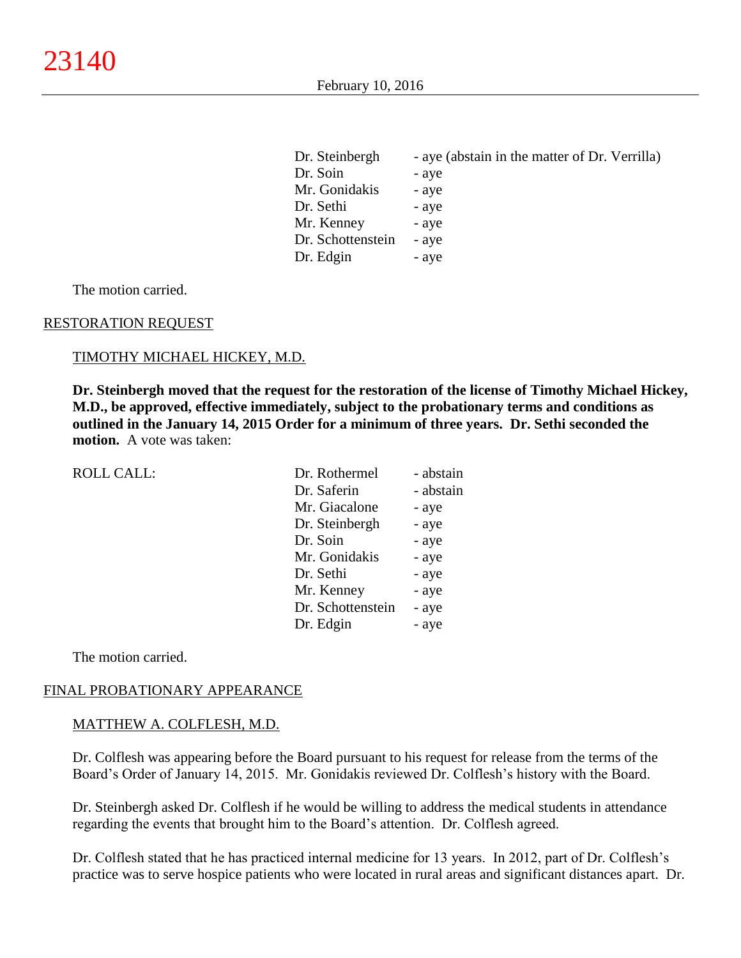| Dr. Steinbergh    | - aye (abstain in the matter of Dr. Verrilla) |
|-------------------|-----------------------------------------------|
| Dr. Soin          | - aye                                         |
| Mr. Gonidakis     | - aye                                         |
| Dr. Sethi         | - aye                                         |
| Mr. Kenney        | - aye                                         |
| Dr. Schottenstein | - aye                                         |
| Dr. Edgin         | - aye                                         |

The motion carried.

#### RESTORATION REQUEST

#### TIMOTHY MICHAEL HICKEY, M.D.

**Dr. Steinbergh moved that the request for the restoration of the license of Timothy Michael Hickey, M.D., be approved, effective immediately, subject to the probationary terms and conditions as outlined in the January 14, 2015 Order for a minimum of three years. Dr. Sethi seconded the motion.** A vote was taken:

| <b>ROLL CALL:</b> | Dr. Rothermel     | - abstain |
|-------------------|-------------------|-----------|
|                   | Dr. Saferin       | - abstain |
|                   | Mr. Giacalone     | - aye     |
|                   | Dr. Steinbergh    | - aye     |
|                   | Dr. Soin          | - aye     |
|                   | Mr. Gonidakis     | - aye     |
|                   | Dr. Sethi         | - aye     |
|                   | Mr. Kenney        | - aye     |
|                   | Dr. Schottenstein | - aye     |
|                   | Dr. Edgin         | - aye     |

The motion carried.

#### FINAL PROBATIONARY APPEARANCE

#### MATTHEW A. COLFLESH, M.D.

Dr. Colflesh was appearing before the Board pursuant to his request for release from the terms of the Board's Order of January 14, 2015. Mr. Gonidakis reviewed Dr. Colflesh's history with the Board.

Dr. Steinbergh asked Dr. Colflesh if he would be willing to address the medical students in attendance regarding the events that brought him to the Board's attention. Dr. Colflesh agreed.

Dr. Colflesh stated that he has practiced internal medicine for 13 years. In 2012, part of Dr. Colflesh's practice was to serve hospice patients who were located in rural areas and significant distances apart. Dr.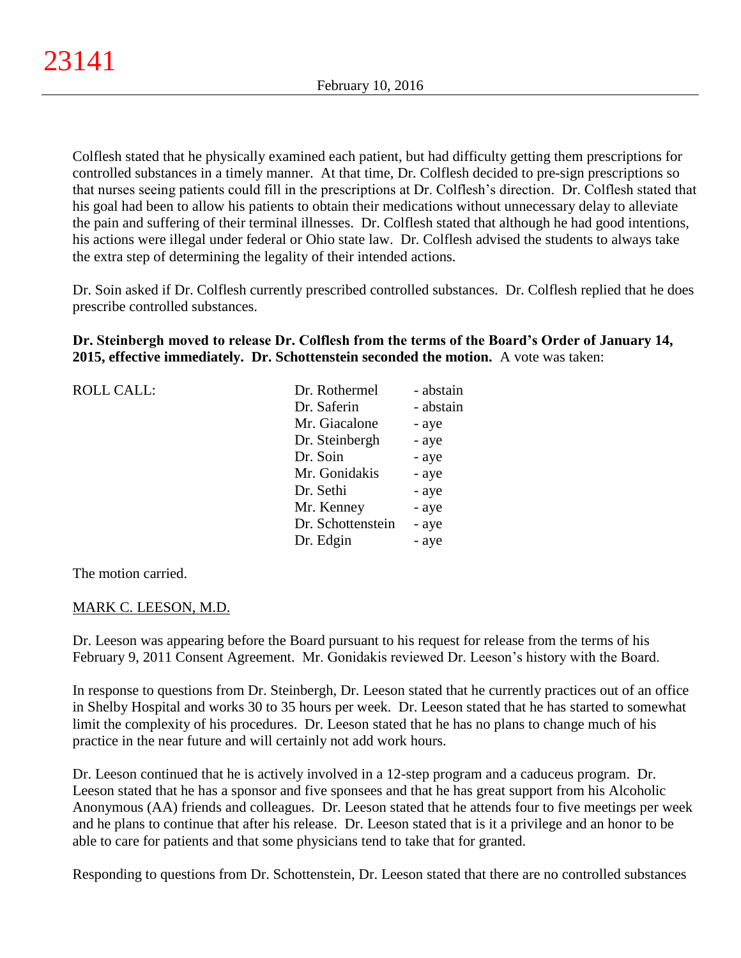Colflesh stated that he physically examined each patient, but had difficulty getting them prescriptions for controlled substances in a timely manner. At that time, Dr. Colflesh decided to pre-sign prescriptions so that nurses seeing patients could fill in the prescriptions at Dr. Colflesh's direction. Dr. Colflesh stated that his goal had been to allow his patients to obtain their medications without unnecessary delay to alleviate the pain and suffering of their terminal illnesses. Dr. Colflesh stated that although he had good intentions, his actions were illegal under federal or Ohio state law. Dr. Colflesh advised the students to always take the extra step of determining the legality of their intended actions.

Dr. Soin asked if Dr. Colflesh currently prescribed controlled substances. Dr. Colflesh replied that he does prescribe controlled substances.

## **Dr. Steinbergh moved to release Dr. Colflesh from the terms of the Board's Order of January 14, 2015, effective immediately. Dr. Schottenstein seconded the motion.** A vote was taken:

| <b>ROLL CALL:</b> | Dr. Rothermel     | - abstain |
|-------------------|-------------------|-----------|
|                   | Dr. Saferin       | - abstain |
|                   | Mr. Giacalone     | - aye     |
|                   | Dr. Steinbergh    | - aye     |
|                   | Dr. Soin          | - aye     |
|                   | Mr. Gonidakis     | - aye     |
|                   | Dr. Sethi         | - aye     |
|                   | Mr. Kenney        | - aye     |
|                   | Dr. Schottenstein | - aye     |
|                   | Dr. Edgin         | - aye     |

The motion carried.

## MARK C. LEESON, M.D.

Dr. Leeson was appearing before the Board pursuant to his request for release from the terms of his February 9, 2011 Consent Agreement. Mr. Gonidakis reviewed Dr. Leeson's history with the Board.

In response to questions from Dr. Steinbergh, Dr. Leeson stated that he currently practices out of an office in Shelby Hospital and works 30 to 35 hours per week. Dr. Leeson stated that he has started to somewhat limit the complexity of his procedures. Dr. Leeson stated that he has no plans to change much of his practice in the near future and will certainly not add work hours.

Dr. Leeson continued that he is actively involved in a 12-step program and a caduceus program. Dr. Leeson stated that he has a sponsor and five sponsees and that he has great support from his Alcoholic Anonymous (AA) friends and colleagues. Dr. Leeson stated that he attends four to five meetings per week and he plans to continue that after his release. Dr. Leeson stated that is it a privilege and an honor to be able to care for patients and that some physicians tend to take that for granted.

Responding to questions from Dr. Schottenstein, Dr. Leeson stated that there are no controlled substances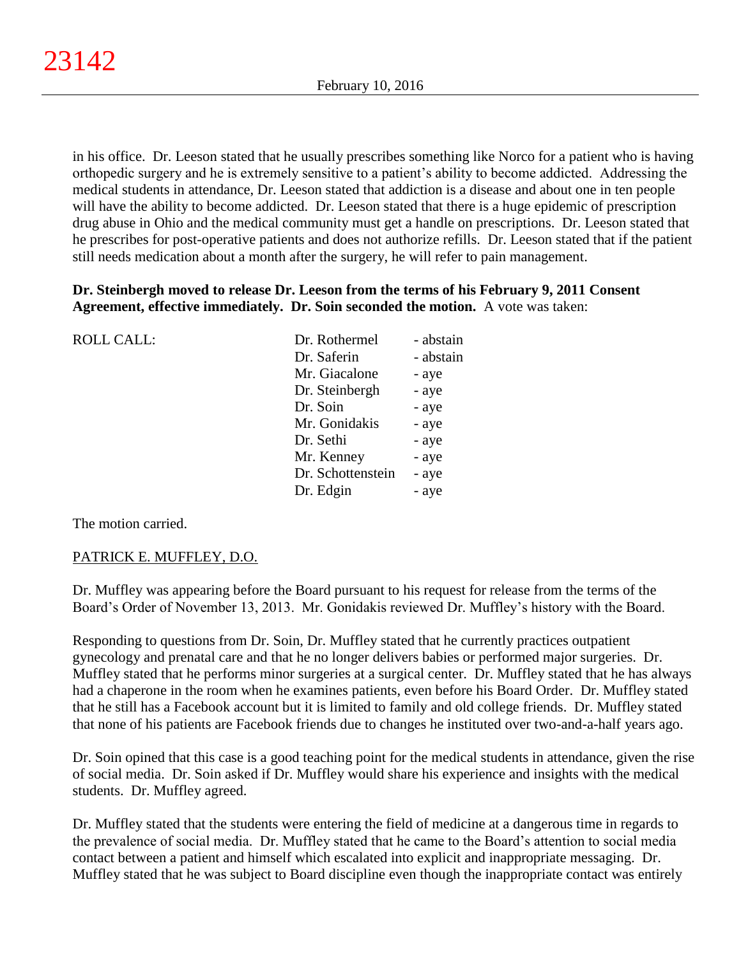in his office. Dr. Leeson stated that he usually prescribes something like Norco for a patient who is having orthopedic surgery and he is extremely sensitive to a patient's ability to become addicted. Addressing the medical students in attendance, Dr. Leeson stated that addiction is a disease and about one in ten people will have the ability to become addicted. Dr. Leeson stated that there is a huge epidemic of prescription drug abuse in Ohio and the medical community must get a handle on prescriptions. Dr. Leeson stated that he prescribes for post-operative patients and does not authorize refills. Dr. Leeson stated that if the patient still needs medication about a month after the surgery, he will refer to pain management.

## **Dr. Steinbergh moved to release Dr. Leeson from the terms of his February 9, 2011 Consent Agreement, effective immediately. Dr. Soin seconded the motion.** A vote was taken:

| <b>ROLL CALL:</b> | Dr. Rothermel     | - abstain |
|-------------------|-------------------|-----------|
|                   | Dr. Saferin       | - abstain |
|                   | Mr. Giacalone     | - aye     |
|                   | Dr. Steinbergh    | - aye     |
|                   | Dr. Soin          | - aye     |
|                   | Mr. Gonidakis     | - aye     |
|                   | Dr. Sethi         | - aye     |
|                   | Mr. Kenney        | - aye     |
|                   | Dr. Schottenstein | - aye     |
|                   | Dr. Edgin         | - aye     |
|                   |                   |           |

The motion carried.

## PATRICK E. MUFFLEY, D.O.

Dr. Muffley was appearing before the Board pursuant to his request for release from the terms of the Board's Order of November 13, 2013. Mr. Gonidakis reviewed Dr. Muffley's history with the Board.

Responding to questions from Dr. Soin, Dr. Muffley stated that he currently practices outpatient gynecology and prenatal care and that he no longer delivers babies or performed major surgeries. Dr. Muffley stated that he performs minor surgeries at a surgical center. Dr. Muffley stated that he has always had a chaperone in the room when he examines patients, even before his Board Order. Dr. Muffley stated that he still has a Facebook account but it is limited to family and old college friends. Dr. Muffley stated that none of his patients are Facebook friends due to changes he instituted over two-and-a-half years ago.

Dr. Soin opined that this case is a good teaching point for the medical students in attendance, given the rise of social media. Dr. Soin asked if Dr. Muffley would share his experience and insights with the medical students. Dr. Muffley agreed.

Dr. Muffley stated that the students were entering the field of medicine at a dangerous time in regards to the prevalence of social media. Dr. Muffley stated that he came to the Board's attention to social media contact between a patient and himself which escalated into explicit and inappropriate messaging. Dr. Muffley stated that he was subject to Board discipline even though the inappropriate contact was entirely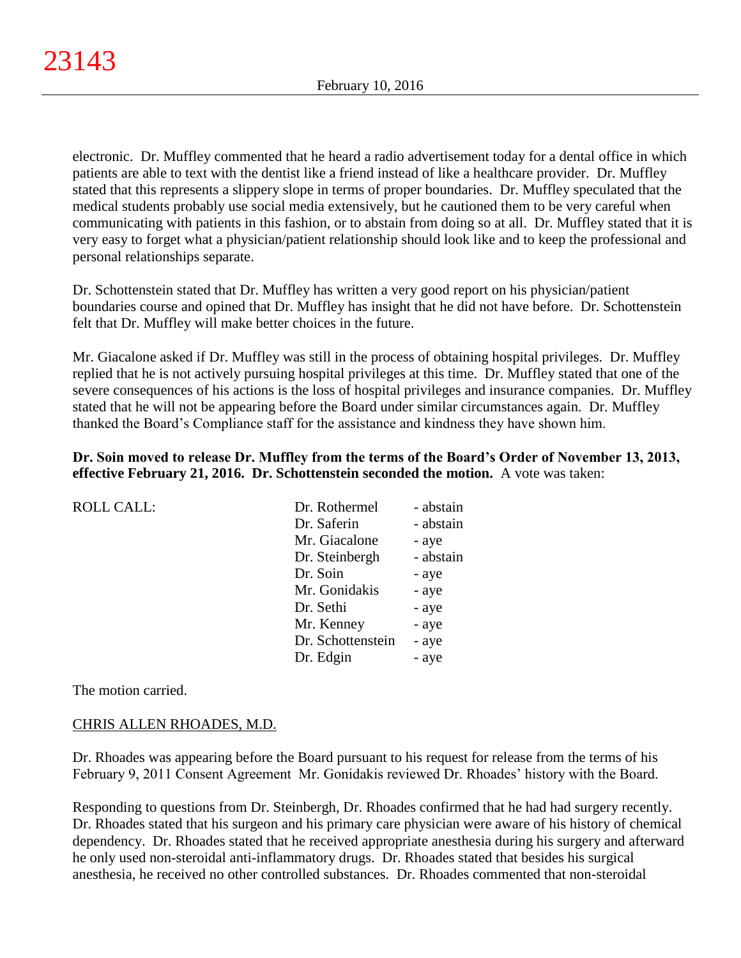electronic. Dr. Muffley commented that he heard a radio advertisement today for a dental office in which patients are able to text with the dentist like a friend instead of like a healthcare provider. Dr. Muffley stated that this represents a slippery slope in terms of proper boundaries. Dr. Muffley speculated that the medical students probably use social media extensively, but he cautioned them to be very careful when communicating with patients in this fashion, or to abstain from doing so at all. Dr. Muffley stated that it is very easy to forget what a physician/patient relationship should look like and to keep the professional and personal relationships separate.

Dr. Schottenstein stated that Dr. Muffley has written a very good report on his physician/patient boundaries course and opined that Dr. Muffley has insight that he did not have before. Dr. Schottenstein felt that Dr. Muffley will make better choices in the future.

Mr. Giacalone asked if Dr. Muffley was still in the process of obtaining hospital privileges. Dr. Muffley replied that he is not actively pursuing hospital privileges at this time. Dr. Muffley stated that one of the severe consequences of his actions is the loss of hospital privileges and insurance companies. Dr. Muffley stated that he will not be appearing before the Board under similar circumstances again. Dr. Muffley thanked the Board's Compliance staff for the assistance and kindness they have shown him.

## **Dr. Soin moved to release Dr. Muffley from the terms of the Board's Order of November 13, 2013, effective February 21, 2016. Dr. Schottenstein seconded the motion.** A vote was taken:

| <b>ROLL CALL:</b> | Dr. Rothermel     | - abstain |
|-------------------|-------------------|-----------|
|                   | Dr. Saferin       | - abstain |
|                   | Mr. Giacalone     | - aye     |
|                   | Dr. Steinbergh    | - abstain |
|                   | Dr. Soin          | - aye     |
|                   | Mr. Gonidakis     | - aye     |
|                   | Dr. Sethi         | - aye     |
|                   | Mr. Kenney        | - aye     |
|                   | Dr. Schottenstein | - aye     |
|                   | Dr. Edgin         | - aye     |
|                   |                   |           |

The motion carried.

## CHRIS ALLEN RHOADES, M.D.

Dr. Rhoades was appearing before the Board pursuant to his request for release from the terms of his February 9, 2011 Consent Agreement Mr. Gonidakis reviewed Dr. Rhoades' history with the Board.

Responding to questions from Dr. Steinbergh, Dr. Rhoades confirmed that he had had surgery recently. Dr. Rhoades stated that his surgeon and his primary care physician were aware of his history of chemical dependency. Dr. Rhoades stated that he received appropriate anesthesia during his surgery and afterward he only used non-steroidal anti-inflammatory drugs. Dr. Rhoades stated that besides his surgical anesthesia, he received no other controlled substances. Dr. Rhoades commented that non-steroidal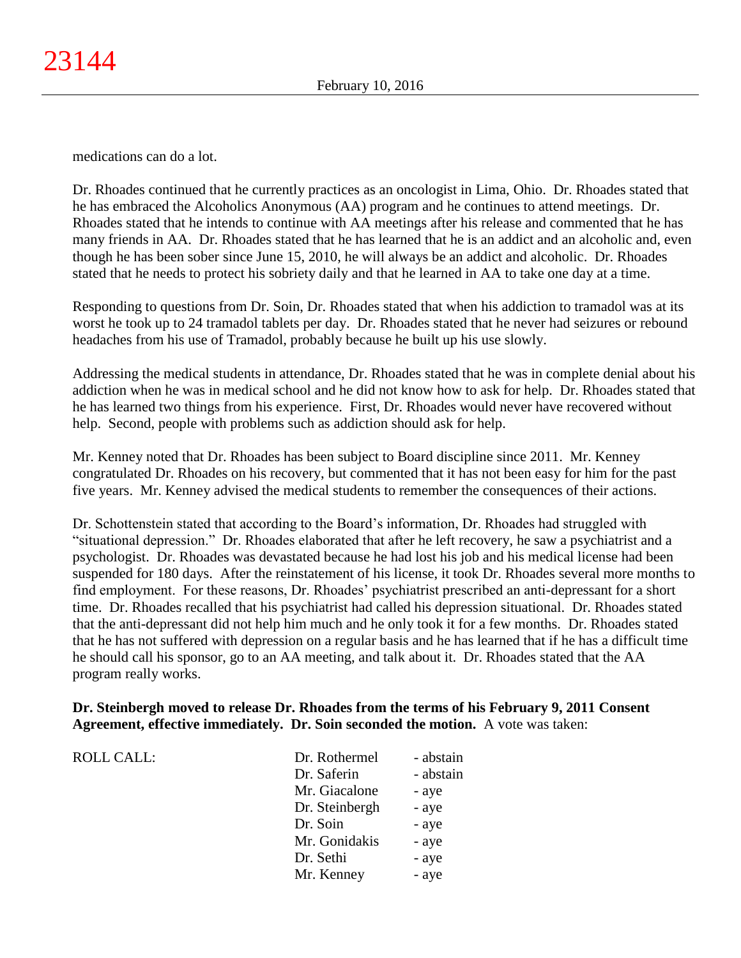medications can do a lot.

Dr. Rhoades continued that he currently practices as an oncologist in Lima, Ohio. Dr. Rhoades stated that he has embraced the Alcoholics Anonymous (AA) program and he continues to attend meetings. Dr. Rhoades stated that he intends to continue with AA meetings after his release and commented that he has many friends in AA. Dr. Rhoades stated that he has learned that he is an addict and an alcoholic and, even though he has been sober since June 15, 2010, he will always be an addict and alcoholic. Dr. Rhoades stated that he needs to protect his sobriety daily and that he learned in AA to take one day at a time.

Responding to questions from Dr. Soin, Dr. Rhoades stated that when his addiction to tramadol was at its worst he took up to 24 tramadol tablets per day. Dr. Rhoades stated that he never had seizures or rebound headaches from his use of Tramadol, probably because he built up his use slowly.

Addressing the medical students in attendance, Dr. Rhoades stated that he was in complete denial about his addiction when he was in medical school and he did not know how to ask for help. Dr. Rhoades stated that he has learned two things from his experience. First, Dr. Rhoades would never have recovered without help. Second, people with problems such as addiction should ask for help.

Mr. Kenney noted that Dr. Rhoades has been subject to Board discipline since 2011. Mr. Kenney congratulated Dr. Rhoades on his recovery, but commented that it has not been easy for him for the past five years. Mr. Kenney advised the medical students to remember the consequences of their actions.

Dr. Schottenstein stated that according to the Board's information, Dr. Rhoades had struggled with "situational depression." Dr. Rhoades elaborated that after he left recovery, he saw a psychiatrist and a psychologist. Dr. Rhoades was devastated because he had lost his job and his medical license had been suspended for 180 days. After the reinstatement of his license, it took Dr. Rhoades several more months to find employment. For these reasons, Dr. Rhoades' psychiatrist prescribed an anti-depressant for a short time. Dr. Rhoades recalled that his psychiatrist had called his depression situational. Dr. Rhoades stated that the anti-depressant did not help him much and he only took it for a few months. Dr. Rhoades stated that he has not suffered with depression on a regular basis and he has learned that if he has a difficult time he should call his sponsor, go to an AA meeting, and talk about it. Dr. Rhoades stated that the AA program really works.

## **Dr. Steinbergh moved to release Dr. Rhoades from the terms of his February 9, 2011 Consent Agreement, effective immediately. Dr. Soin seconded the motion.** A vote was taken:

ROLL CALL: T

| Dr. Rothermel  | - abstain |
|----------------|-----------|
| Dr. Saferin    | - abstain |
| Mr. Giacalone  | - aye     |
| Dr. Steinbergh | - aye     |
| Dr. Soin       | - aye     |
| Mr. Gonidakis  | - aye     |
| Dr. Sethi      | - aye     |
| Mr. Kenney     | - aye     |
|                |           |